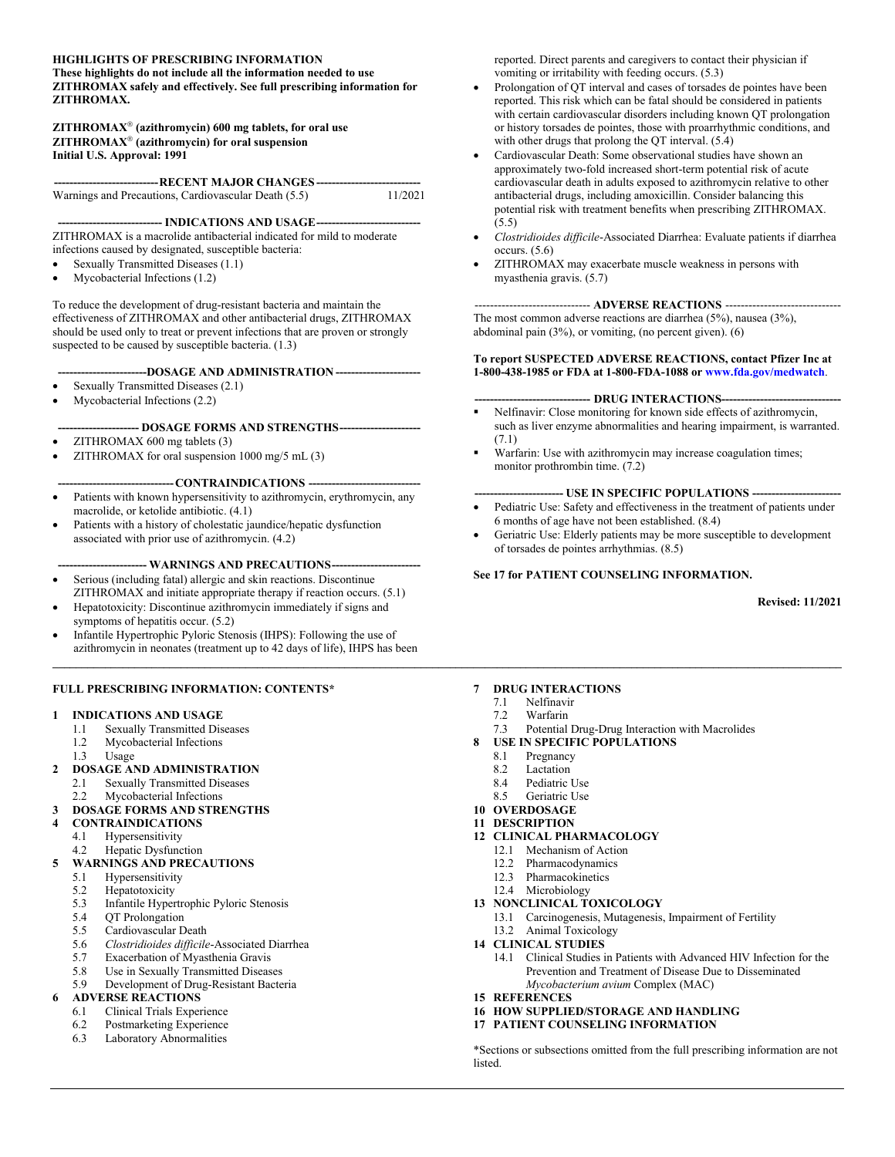#### **HIGHLIGHTS OF PRESCRIBING INFORMATION These highlights do not include all the information needed to use ZITHROMAX safely and effectively. See full prescribing information for ZITHROMAX.**

#### **ZITHROMAX (azithromycin) 600 mg tablets, for oral use ZITHROMAX (azithromycin) for oral suspension Initial U.S. Approval: 1991**

| ------------------------------ RECENT MAJOR CHANGES ---------------------------- |         |
|----------------------------------------------------------------------------------|---------|
| Warnings and Precautions, Cardiovascular Death (5.5)                             | 11/2021 |

**--------------------------- INDICATIONS AND USAGE---------------------------** ZITHROMAX is a macrolide antibacterial indicated for mild to moderate infections caused by designated, susceptible bacteria:

- Sexually Transmitted Diseases (1.1)
- Mycobacterial Infections (1.2)

To reduce the development of drug-resistant bacteria and maintain the effectiveness of ZITHROMAX and other antibacterial drugs, ZITHROMAX should be used only to treat or prevent infections that are proven or strongly suspected to be caused by susceptible bacteria. (1.3)

#### **-----------------------DOSAGE AND ADMINISTRATION ----------------------**

- Sexually Transmitted Diseases (2.1)
- Mycobacterial Infections (2.2)

#### **--------------------- DOSAGE FORMS AND STRENGTHS---------------------**

- ZITHROMAX 600 mg tablets (3)
- ZITHROMAX for oral suspension 1000 mg/5 mL (3)

#### --CONTRAINDICATIONS

- Patients with known hypersensitivity to azithromycin, erythromycin, any macrolide, or ketolide antibiotic. (4.1)
- Patients with a history of cholestatic jaundice/hepatic dysfunction associated with prior use of azithromycin. (4.2)

#### --- WARNINGS AND PRECAUTIONS----

- Serious (including fatal) allergic and skin reactions. Discontinue ZITHROMAX and initiate appropriate therapy if reaction occurs. (5.1)
- Hepatotoxicity: Discontinue azithromycin immediately if signs and symptoms of hepatitis occur. (5.2)
- Infantile Hypertrophic Pyloric Stenosis (IHPS): Following the use of azithromycin in neonates (treatment up to 42 days of life), IHPS has been

#### **FULL PRESCRIBING INFORMATION: CONTENTS\***

#### **1 INDICATIONS AND USAGE**

- 1.1 Sexually Transmitted Diseases
- 1.2 Mycobacterial Infections
- 1.3 Usage
- **2 DOSAGE AND ADMINISTRATION**
- 2.1 Sexually Transmitted Diseases
- 2.2 Mycobacterial Infections

### **3 DOSAGE FORMS AND STRENGTHS**

- **4 CONTRAINDICATIONS**
	- 4.1 Hypersensitivity
	- 4.2 Hepatic Dysfunction
- **5 WARNINGS AND PRECAUTIONS**
	- 5.1 Hypersensitivity<br>5.2 Hepatotoxicity
	- 5.2 Hepatotoxicity<br>5.3 Infantile Hyper
	- 5.3 Infantile Hypertrophic Pyloric Stenosis
	- 5.4 QT Prolongation
	- 5.5 Cardiovascular Death
	- 5.6 *Clostridioides difficile*-Associated Diarrhea
	- 5.7 Exacerbation of Myasthenia Gravis
	- 5.8 Use in Sexually Transmitted Diseases<br>5.9 Development of Drug-Resistant Bacte
	- Development of Drug-Resistant Bacteria

### **6 ADVERSE REACTIONS**

- 6.1 Clinical Trials Experience
- 6.2 Postmarketing Experience
- 6.3 Laboratory Abnormalities

reported. Direct parents and caregivers to contact their physician if vomiting or irritability with feeding occurs. (5.3)

- Prolongation of QT interval and cases of torsades de pointes have been reported. This risk which can be fatal should be considered in patients with certain cardiovascular disorders including known QT prolongation or history torsades de pointes, those with proarrhythmic conditions, and with other drugs that prolong the QT interval. (5.4)
- Cardiovascular Death: Some observational studies have shown an approximately two-fold increased short-term potential risk of acute cardiovascular death in adults exposed to azithromycin relative to other antibacterial drugs, including amoxicillin. Consider balancing this potential risk with treatment benefits when prescribing ZITHROMAX. (5.5)
- *Clostridioides difficile*-Associated Diarrhea: Evaluate patients if diarrhea occurs. (5.6)
- ZITHROMAX may exacerbate muscle weakness in persons with myasthenia gravis. (5.7)

#### ------ **ADVERSE REACTIONS** -----

The most common adverse reactions are diarrhea (5%), nausea (3%), abdominal pain (3%), or vomiting, (no percent given). (6)

#### **To report SUSPECTED ADVERSE REACTIONS, contact Pfizer Inc at 1-800-438-1985 or FDA at 1-800-FDA-1088 or [www.fda.gov/medwatch](http://www.fda.gov/medwatch)**.

#### --- **DRUG INTERACTIONS---**

- Nelfinavir: Close monitoring for known side effects of azithromycin, such as liver enzyme abnormalities and hearing impairment, is warranted. (7.1)
- Warfarin: Use with azithromycin may increase coagulation times; monitor prothrombin time. (7.2)

#### **----------------------- USE IN SPECIFIC POPULATIONS -----------------------**

- Pediatric Use: Safety and effectiveness in the treatment of patients under 6 months of age have not been established. (8.4)
- Geriatric Use: Elderly patients may be more susceptible to development of torsades de pointes arrhythmias. (8.5)

#### **See 17 for PATIENT COUNSELING INFORMATION.**

**Revised: 11/2021**

#### **7 DRUG INTERACTIONS**

7.1 Nelfinavir

#### 7.2 Warfarin

**\_\_\_\_\_\_\_\_\_\_\_\_\_\_\_\_\_\_\_\_\_\_\_\_\_\_\_\_\_\_\_\_\_\_\_\_\_\_\_\_\_\_\_\_\_\_\_\_\_\_\_\_\_\_\_\_\_\_\_\_\_\_\_\_\_\_\_\_\_\_\_\_\_\_\_\_\_\_\_\_\_\_\_\_\_\_\_\_\_\_\_\_\_\_\_\_\_\_\_\_\_\_\_\_\_\_\_\_\_\_\_\_\_\_\_\_\_\_\_\_\_\_\_\_\_\_\_\_\_\_\_\_\_\_\_**

- 7.3 Potential Drug-Drug Interaction with Macrolides
- **8 USE IN SPECIFIC POPULATIONS**
	- 8.1 Pregnancy
	- 8.2 Lactation
	- 8.4 Pediatric Use<br>8.5 Geriatric Use
	- Geriatric Use
- **10 OVERDOSAGE**
- **11 DESCRIPTION**
- **12 CLINICAL PHARMACOLOGY**
	- 12.1 Mechanism of Action
	- 12.2 Pharmacodynamics
	- 12.3 Pharmacokinetics
	- 12.4 Microbiology

#### **13 NONCLINICAL TOXICOLOGY**

- 13.1 Carcinogenesis, Mutagenesis, Impairment of Fertility
- 13.2 Animal Toxicology
- **14 CLINICAL STUDIES**
	- 14.1 Clinical Studies in Patients with Advanced HIV Infection for the Prevention and Treatment of Disease Due to Disseminated *Mycobacterium avium* Complex (MAC)
- **15 REFERENCES**
- **16 HOW SUPPLIED/STORAGE AND HANDLING**
- **17 PATIENT COUNSELING INFORMATION**

\*Sections or subsections omitted from the full prescribing information are not listed.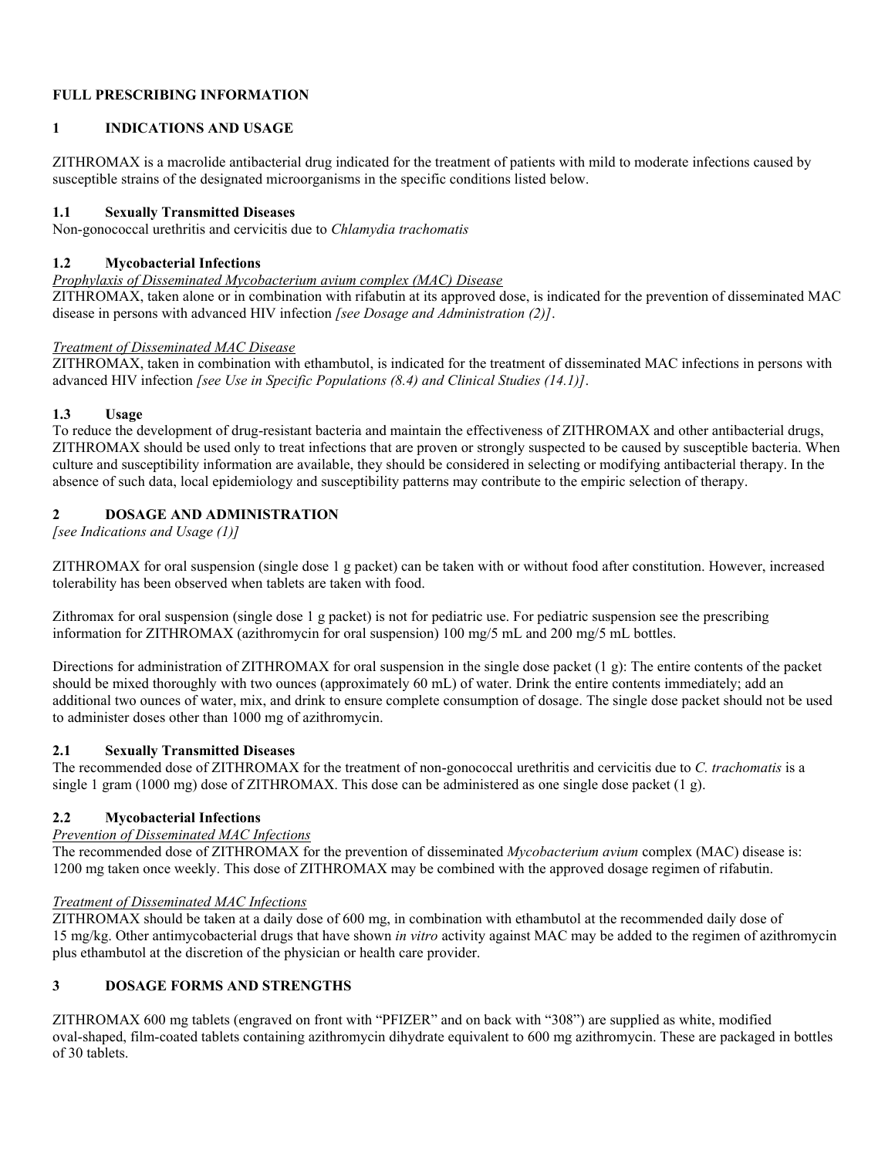### **FULL PRESCRIBING INFORMATION**

## **1 INDICATIONS AND USAGE**

ZITHROMAX is a macrolide antibacterial drug indicated for the treatment of patients with mild to moderate infections caused by susceptible strains of the designated microorganisms in the specific conditions listed below.

### **1.1 Sexually Transmitted Diseases**

Non-gonococcal urethritis and cervicitis due to *Chlamydia trachomatis*

### **1.2 Mycobacterial Infections**

*Prophylaxis of Disseminated Mycobacterium avium complex (MAC) Disease*

ZITHROMAX, taken alone or in combination with rifabutin at its approved dose, is indicated for the prevention of disseminated MAC disease in persons with advanced HIV infection *[see Dosage and Administration (2)]*.

### *Treatment of Disseminated MAC Disease*

ZITHROMAX, taken in combination with ethambutol, is indicated for the treatment of disseminated MAC infections in persons with advanced HIV infection *[see Use in Specific Populations (8.4) and Clinical Studies (14.1)]*.

## **1.3 Usage**

To reduce the development of drug-resistant bacteria and maintain the effectiveness of ZITHROMAX and other antibacterial drugs, ZITHROMAX should be used only to treat infections that are proven or strongly suspected to be caused by susceptible bacteria. When culture and susceptibility information are available, they should be considered in selecting or modifying antibacterial therapy. In the absence of such data, local epidemiology and susceptibility patterns may contribute to the empiric selection of therapy.

## **2 DOSAGE AND ADMINISTRATION**

*[see Indications and Usage (1)]*

ZITHROMAX for oral suspension (single dose 1 g packet) can be taken with or without food after constitution. However, increased tolerability has been observed when tablets are taken with food.

Zithromax for oral suspension (single dose 1 g packet) is not for pediatric use. For pediatric suspension see the prescribing information for ZITHROMAX (azithromycin for oral suspension) 100 mg/5 mL and 200 mg/5 mL bottles.

Directions for administration of ZITHROMAX for oral suspension in the single dose packet (1 g): The entire contents of the packet should be mixed thoroughly with two ounces (approximately 60 mL) of water. Drink the entire contents immediately; add an additional two ounces of water, mix, and drink to ensure complete consumption of dosage. The single dose packet should not be used to administer doses other than 1000 mg of azithromycin.

### **2.1 Sexually Transmitted Diseases**

The recommended dose of ZITHROMAX for the treatment of non-gonococcal urethritis and cervicitis due to *C. trachomatis* is a single 1 gram (1000 mg) dose of ZITHROMAX. This dose can be administered as one single dose packet (1 g).

## **2.2 Mycobacterial Infections**

## *Prevention of Disseminated MAC Infections*

The recommended dose of ZITHROMAX for the prevention of disseminated *Mycobacterium avium* complex (MAC) disease is: 1200 mg taken once weekly. This dose of ZITHROMAX may be combined with the approved dosage regimen of rifabutin.

### *Treatment of Disseminated MAC Infections*

ZITHROMAX should be taken at a daily dose of 600 mg, in combination with ethambutol at the recommended daily dose of 15 mg/kg. Other antimycobacterial drugs that have shown *in vitro* activity against MAC may be added to the regimen of azithromycin plus ethambutol at the discretion of the physician or health care provider.

## **3 DOSAGE FORMS AND STRENGTHS**

ZITHROMAX 600 mg tablets (engraved on front with "PFIZER" and on back with "308") are supplied as white, modified oval-shaped, film-coated tablets containing azithromycin dihydrate equivalent to 600 mg azithromycin. These are packaged in bottles of 30 tablets.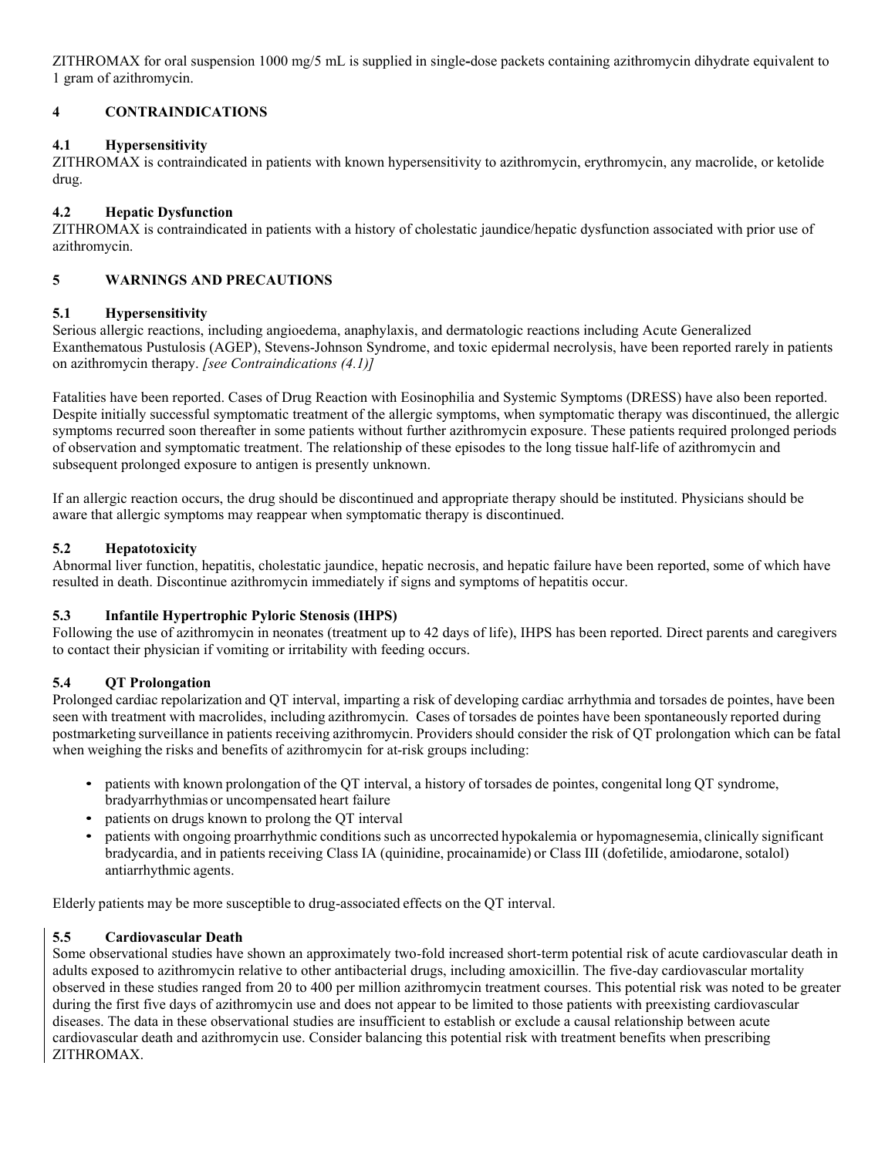ZITHROMAX for oral suspension 1000 mg/5 mL is supplied in single**-**dose packets containing azithromycin dihydrate equivalent to 1 gram of azithromycin.

## **4 CONTRAINDICATIONS**

## **4.1 Hypersensitivity**

ZITHROMAX is contraindicated in patients with known hypersensitivity to azithromycin, erythromycin, any macrolide, or ketolide drug.

## **4.2 Hepatic Dysfunction**

ZITHROMAX is contraindicated in patients with a history of cholestatic jaundice/hepatic dysfunction associated with prior use of azithromycin.

## **5 WARNINGS AND PRECAUTIONS**

## **5.1 Hypersensitivity**

Serious allergic reactions, including angioedema, anaphylaxis, and dermatologic reactions including Acute Generalized Exanthematous Pustulosis (AGEP), Stevens-Johnson Syndrome, and toxic epidermal necrolysis, have been reported rarely in patients on azithromycin therapy. *[see Contraindications (4.1)]*

Fatalities have been reported. Cases of Drug Reaction with Eosinophilia and Systemic Symptoms (DRESS) have also been reported. Despite initially successful symptomatic treatment of the allergic symptoms, when symptomatic therapy was discontinued, the allergic symptoms recurred soon thereafter in some patients without further azithromycin exposure. These patients required prolonged periods of observation and symptomatic treatment. The relationship of these episodes to the long tissue half-life of azithromycin and subsequent prolonged exposure to antigen is presently unknown.

If an allergic reaction occurs, the drug should be discontinued and appropriate therapy should be instituted. Physicians should be aware that allergic symptoms may reappear when symptomatic therapy is discontinued.

## **5.2 Hepatotoxicity**

Abnormal liver function, hepatitis, cholestatic jaundice, hepatic necrosis, and hepatic failure have been reported, some of which have resulted in death. Discontinue azithromycin immediately if signs and symptoms of hepatitis occur.

## **5.3 Infantile Hypertrophic Pyloric Stenosis (IHPS)**

Following the use of azithromycin in neonates (treatment up to 42 days of life), IHPS has been reported. Direct parents and caregivers to contact their physician if vomiting or irritability with feeding occurs.

## **5.4 QT Prolongation**

Prolonged cardiac repolarization and QT interval, imparting a risk of developing cardiac arrhythmia and torsades de pointes, have been seen with treatment with macrolides, including azithromycin. Cases of torsades de pointes have been spontaneously reported during postmarketing surveillance in patients receiving azithromycin. Providers should consider the risk of QT prolongation which can be fatal when weighing the risks and benefits of azithromycin for at-risk groups including:

- patients with known prolongation of the QT interval, a history of torsades de pointes, congenital long QT syndrome, bradyarrhythmias or uncompensated heart failure
- patients on drugs known to prolong the QT interval
- patients with ongoing proarrhythmic conditions such as uncorrected hypokalemia or hypomagnesemia, clinically significant bradycardia, and in patients receiving Class IA (quinidine, procainamide) or Class III (dofetilide, amiodarone, sotalol) antiarrhythmic agents.

Elderly patients may be more susceptible to drug-associated effects on the QT interval.

## **5.5 Cardiovascular Death**

Some observational studies have shown an approximately two-fold increased short-term potential risk of acute cardiovascular death in adults exposed to azithromycin relative to other antibacterial drugs, including amoxicillin. The five-day cardiovascular mortality observed in these studies ranged from 20 to 400 per million azithromycin treatment courses. This potential risk was noted to be greater during the first five days of azithromycin use and does not appear to be limited to those patients with preexisting cardiovascular diseases. The data in these observational studies are insufficient to establish or exclude a causal relationship between acute cardiovascular death and azithromycin use. Consider balancing this potential risk with treatment benefits when prescribing ZITHROMAX.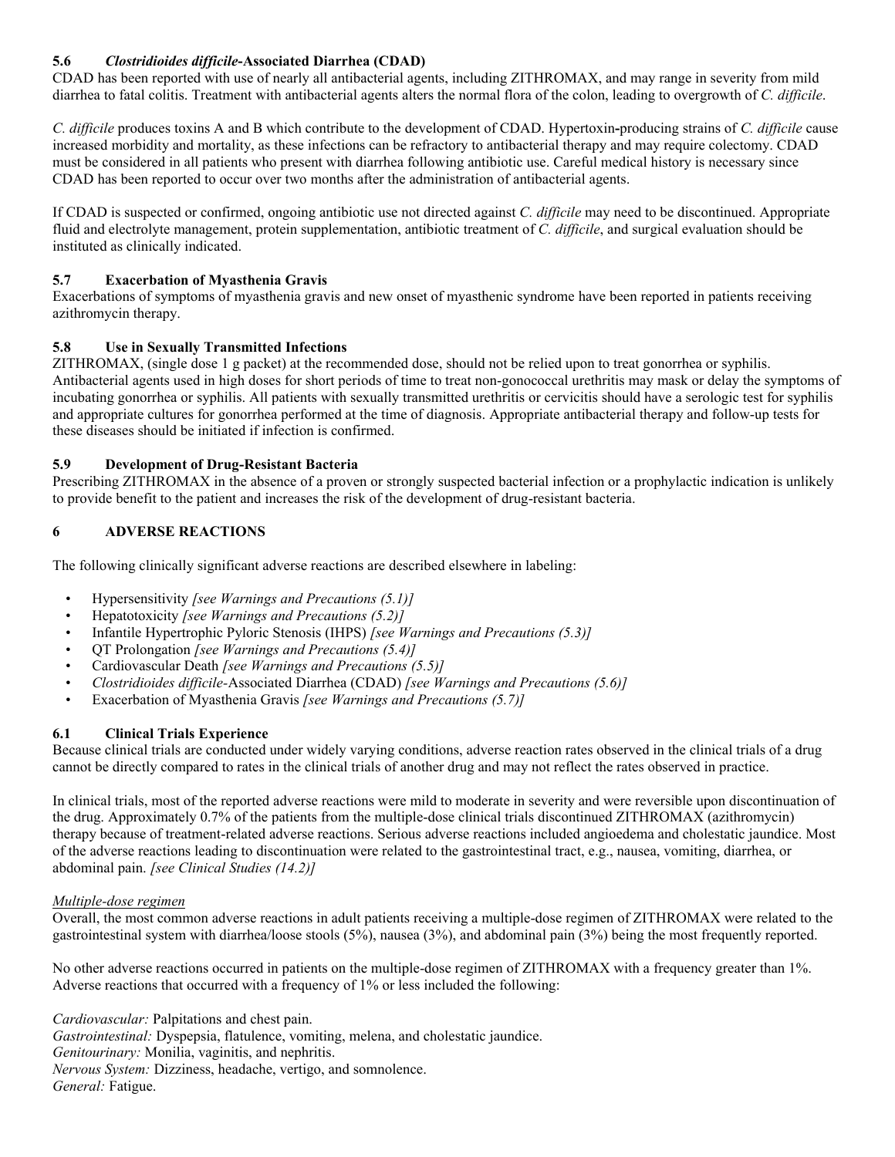## **5.6** *Clostridioides difficile***-Associated Diarrhea (CDAD)**

CDAD has been reported with use of nearly all antibacterial agents, including ZITHROMAX, and may range in severity from mild diarrhea to fatal colitis. Treatment with antibacterial agents alters the normal flora of the colon, leading to overgrowth of *C. difficile*.

*C. difficile* produces toxins A and B which contribute to the development of CDAD. Hypertoxin**-**producing strains of *C. difficile* cause increased morbidity and mortality, as these infections can be refractory to antibacterial therapy and may require colectomy. CDAD must be considered in all patients who present with diarrhea following antibiotic use. Careful medical history is necessary since CDAD has been reported to occur over two months after the administration of antibacterial agents.

If CDAD is suspected or confirmed, ongoing antibiotic use not directed against *C. difficile* may need to be discontinued. Appropriate fluid and electrolyte management, protein supplementation, antibiotic treatment of *C. difficile*, and surgical evaluation should be instituted as clinically indicated.

### **5.7 Exacerbation of Myasthenia Gravis**

Exacerbations of symptoms of myasthenia gravis and new onset of myasthenic syndrome have been reported in patients receiving azithromycin therapy.

## **5.8 Use in Sexually Transmitted Infections**

ZITHROMAX, (single dose 1 g packet) at the recommended dose, should not be relied upon to treat gonorrhea or syphilis. Antibacterial agents used in high doses for short periods of time to treat non-gonococcal urethritis may mask or delay the symptoms of incubating gonorrhea or syphilis. All patients with sexually transmitted urethritis or cervicitis should have a serologic test for syphilis and appropriate cultures for gonorrhea performed at the time of diagnosis. Appropriate antibacterial therapy and follow-up tests for these diseases should be initiated if infection is confirmed.

### **5.9 Development of Drug-Resistant Bacteria**

Prescribing ZITHROMAX in the absence of a proven or strongly suspected bacterial infection or a prophylactic indication is unlikely to provide benefit to the patient and increases the risk of the development of drug-resistant bacteria.

### **6 ADVERSE REACTIONS**

The following clinically significant adverse reactions are described elsewhere in labeling:

- Hypersensitivity *[see Warnings and Precautions (5.1)]*
- Hepatotoxicity *[see Warnings and Precautions (5.2)]*
- Infantile Hypertrophic Pyloric Stenosis (IHPS) *[see Warnings and Precautions (5.3)]*
- QT Prolongation *[see Warnings and Precautions (5.4)]*
- Cardiovascular Death *[see Warnings and Precautions (5.5)]*
- *Clostridioides difficile-*Associated Diarrhea (CDAD) *[see Warnings and Precautions (5.6)]*
- Exacerbation of Myasthenia Gravis *[see Warnings and Precautions (5.7)]*

## **6.1 Clinical Trials Experience**

Because clinical trials are conducted under widely varying conditions, adverse reaction rates observed in the clinical trials of a drug cannot be directly compared to rates in the clinical trials of another drug and may not reflect the rates observed in practice.

In clinical trials, most of the reported adverse reactions were mild to moderate in severity and were reversible upon discontinuation of the drug. Approximately 0.7% of the patients from the multiple-dose clinical trials discontinued ZITHROMAX (azithromycin) therapy because of treatment-related adverse reactions. Serious adverse reactions included angioedema and cholestatic jaundice. Most of the adverse reactions leading to discontinuation were related to the gastrointestinal tract, e.g., nausea, vomiting, diarrhea, or abdominal pain. *[see Clinical Studies (14.2)]*

### *Multiple-dose regimen*

Overall, the most common adverse reactions in adult patients receiving a multiple-dose regimen of ZITHROMAX were related to the gastrointestinal system with diarrhea/loose stools (5%), nausea (3%), and abdominal pain (3%) being the most frequently reported.

No other adverse reactions occurred in patients on the multiple-dose regimen of ZITHROMAX with a frequency greater than 1%. Adverse reactions that occurred with a frequency of 1% or less included the following:

*Cardiovascular:* Palpitations and chest pain. *Gastrointestinal:* Dyspepsia, flatulence, vomiting, melena, and cholestatic jaundice. *Genitourinary:* Monilia, vaginitis, and nephritis. *Nervous System:* Dizziness, headache, vertigo, and somnolence. *General:* Fatigue.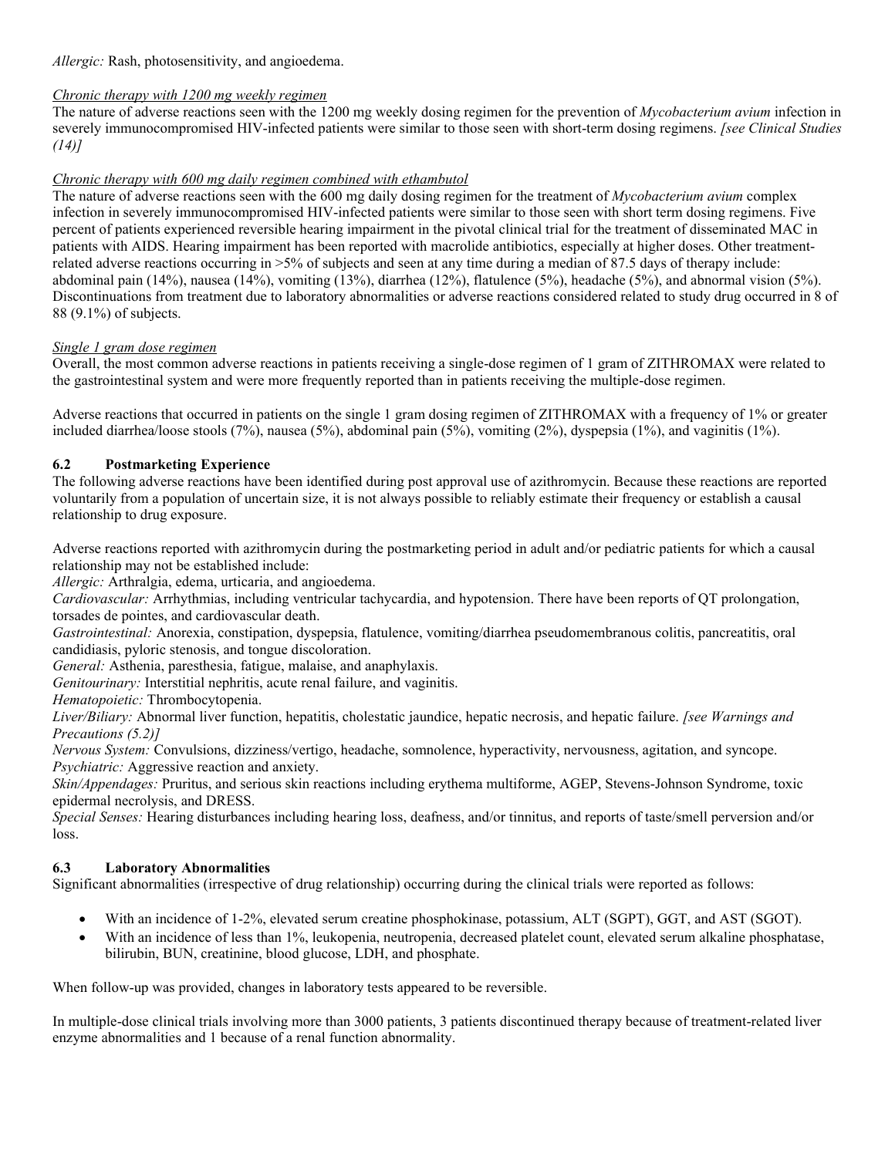*Allergic:* Rash, photosensitivity, and angioedema.

## *Chronic therapy with 1200 mg weekly regimen*

The nature of adverse reactions seen with the 1200 mg weekly dosing regimen for the prevention of *Mycobacterium avium* infection in severely immunocompromised HIV-infected patients were similar to those seen with short-term dosing regimens. *[see Clinical Studies (14)]*

## *Chronic therapy with 600 mg daily regimen combined with ethambutol*

The nature of adverse reactions seen with the 600 mg daily dosing regimen for the treatment of *Mycobacterium avium* complex infection in severely immunocompromised HIV-infected patients were similar to those seen with short term dosing regimens. Five percent of patients experienced reversible hearing impairment in the pivotal clinical trial for the treatment of disseminated MAC in patients with AIDS. Hearing impairment has been reported with macrolide antibiotics, especially at higher doses. Other treatmentrelated adverse reactions occurring in >5% of subjects and seen at any time during a median of 87.5 days of therapy include: abdominal pain (14%), nausea (14%), vomiting (13%), diarrhea (12%), flatulence (5%), headache (5%), and abnormal vision (5%). Discontinuations from treatment due to laboratory abnormalities or adverse reactions considered related to study drug occurred in 8 of 88 (9.1%) of subjects.

## *Single 1 gram dose regimen*

Overall, the most common adverse reactions in patients receiving a single-dose regimen of 1 gram of ZITHROMAX were related to the gastrointestinal system and were more frequently reported than in patients receiving the multiple-dose regimen.

Adverse reactions that occurred in patients on the single 1 gram dosing regimen of ZITHROMAX with a frequency of 1% or greater included diarrhea/loose stools (7%), nausea (5%), abdominal pain (5%), vomiting (2%), dyspepsia (1%), and vaginitis (1%).

## **6.2 Postmarketing Experience**

The following adverse reactions have been identified during post approval use of azithromycin. Because these reactions are reported voluntarily from a population of uncertain size, it is not always possible to reliably estimate their frequency or establish a causal relationship to drug exposure.

Adverse reactions reported with azithromycin during the postmarketing period in adult and/or pediatric patients for which a causal relationship may not be established include:

*Allergic:* Arthralgia, edema, urticaria, and angioedema.

*Cardiovascular:* Arrhythmias, including ventricular tachycardia, and hypotension. There have been reports of QT prolongation, torsades de pointes, and cardiovascular death.

*Gastrointestinal:* Anorexia, constipation, dyspepsia, flatulence, vomiting/diarrhea pseudomembranous colitis, pancreatitis, oral candidiasis, pyloric stenosis, and tongue discoloration.

*General:* Asthenia, paresthesia, fatigue, malaise, and anaphylaxis.

*Genitourinary:* Interstitial nephritis, acute renal failure, and vaginitis.

*Hematopoietic:* Thrombocytopenia.

*Liver/Biliary:* Abnormal liver function, hepatitis, cholestatic jaundice, hepatic necrosis, and hepatic failure. *[see Warnings and Precautions (5.2)]*

*Nervous System:* Convulsions, dizziness/vertigo, headache, somnolence, hyperactivity, nervousness, agitation, and syncope. *Psychiatric:* Aggressive reaction and anxiety.

*Skin/Appendages:* Pruritus, and serious skin reactions including erythema multiforme, AGEP, Stevens-Johnson Syndrome, toxic epidermal necrolysis, and DRESS.

*Special Senses:* Hearing disturbances including hearing loss, deafness, and/or tinnitus, and reports of taste/smell perversion and/or loss.

## **6.3 Laboratory Abnormalities**

Significant abnormalities (irrespective of drug relationship) occurring during the clinical trials were reported as follows:

- With an incidence of 1-2%, elevated serum creatine phosphokinase, potassium, ALT (SGPT), GGT, and AST (SGOT).
- With an incidence of less than 1%, leukopenia, neutropenia, decreased platelet count, elevated serum alkaline phosphatase, bilirubin, BUN, creatinine, blood glucose, LDH, and phosphate.

When follow-up was provided, changes in laboratory tests appeared to be reversible.

In multiple-dose clinical trials involving more than 3000 patients, 3 patients discontinued therapy because of treatment-related liver enzyme abnormalities and 1 because of a renal function abnormality.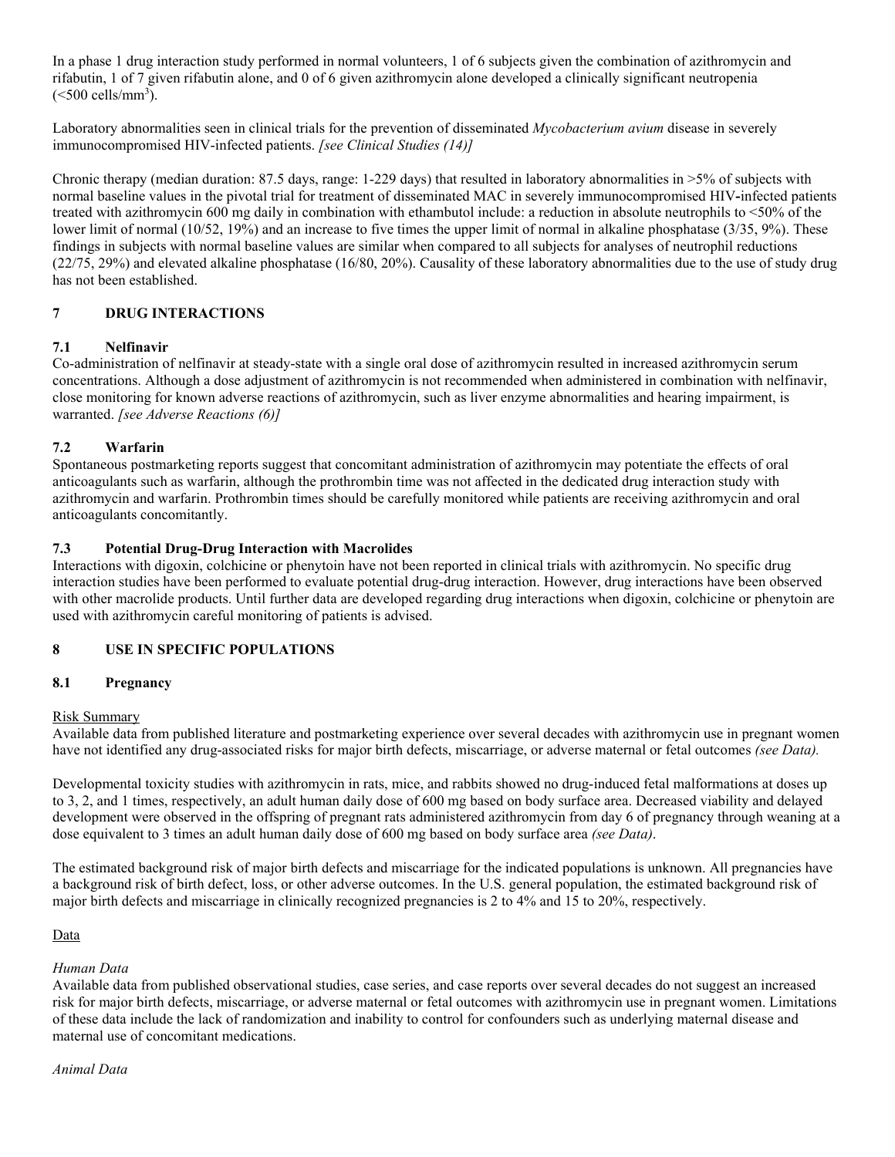In a phase 1 drug interaction study performed in normal volunteers, 1 of 6 subjects given the combination of azithromycin and rifabutin, 1 of 7 given rifabutin alone, and 0 of 6 given azithromycin alone developed a clinically significant neutropenia  $(<$ 500 cells/mm<sup>3</sup>).

Laboratory abnormalities seen in clinical trials for the prevention of disseminated *Mycobacterium avium* disease in severely immunocompromised HIV-infected patients. *[see Clinical Studies (14)]*

Chronic therapy (median duration: 87.5 days, range: 1-229 days) that resulted in laboratory abnormalities in >5% of subjects with normal baseline values in the pivotal trial for treatment of disseminated MAC in severely immunocompromised HIV**-**infected patients treated with azithromycin 600 mg daily in combination with ethambutol include: a reduction in absolute neutrophils to <50% of the lower limit of normal (10/52, 19%) and an increase to five times the upper limit of normal in alkaline phosphatase (3/35, 9%). These findings in subjects with normal baseline values are similar when compared to all subjects for analyses of neutrophil reductions (22/75, 29%) and elevated alkaline phosphatase (16/80, 20%). Causality of these laboratory abnormalities due to the use of study drug has not been established.

## **7 DRUG INTERACTIONS**

### **7.1 Nelfinavir**

Co-administration of nelfinavir at steady-state with a single oral dose of azithromycin resulted in increased azithromycin serum concentrations. Although a dose adjustment of azithromycin is not recommended when administered in combination with nelfinavir, close monitoring for known adverse reactions of azithromycin, such as liver enzyme abnormalities and hearing impairment, is warranted. *[see Adverse Reactions (6)]*

### **7.2 Warfarin**

Spontaneous postmarketing reports suggest that concomitant administration of azithromycin may potentiate the effects of oral anticoagulants such as warfarin, although the prothrombin time was not affected in the dedicated drug interaction study with azithromycin and warfarin. Prothrombin times should be carefully monitored while patients are receiving azithromycin and oral anticoagulants concomitantly.

### **7.3 Potential Drug-Drug Interaction with Macrolides**

Interactions with digoxin, colchicine or phenytoin have not been reported in clinical trials with azithromycin. No specific drug interaction studies have been performed to evaluate potential drug-drug interaction. However, drug interactions have been observed with other macrolide products. Until further data are developed regarding drug interactions when digoxin, colchicine or phenytoin are used with azithromycin careful monitoring of patients is advised.

## **8 USE IN SPECIFIC POPULATIONS**

### **8.1 Pregnancy**

### Risk Summary

Available data from published literature and postmarketing experience over several decades with azithromycin use in pregnant women have not identified any drug-associated risks for major birth defects, miscarriage, or adverse maternal or fetal outcomes *(see Data).*

Developmental toxicity studies with azithromycin in rats, mice, and rabbits showed no drug-induced fetal malformations at doses up to 3, 2, and 1 times, respectively, an adult human daily dose of 600 mg based on body surface area. Decreased viability and delayed development were observed in the offspring of pregnant rats administered azithromycin from day 6 of pregnancy through weaning at a dose equivalent to 3 times an adult human daily dose of 600 mg based on body surface area *(see Data)*.

The estimated background risk of major birth defects and miscarriage for the indicated populations is unknown. All pregnancies have a background risk of birth defect, loss, or other adverse outcomes. In the U.S. general population, the estimated background risk of major birth defects and miscarriage in clinically recognized pregnancies is 2 to 4% and 15 to 20%, respectively.

### Data

### *Human Data*

Available data from published observational studies, case series, and case reports over several decades do not suggest an increased risk for major birth defects, miscarriage, or adverse maternal or fetal outcomes with azithromycin use in pregnant women. Limitations of these data include the lack of randomization and inability to control for confounders such as underlying maternal disease and maternal use of concomitant medications.

#### *Animal Data*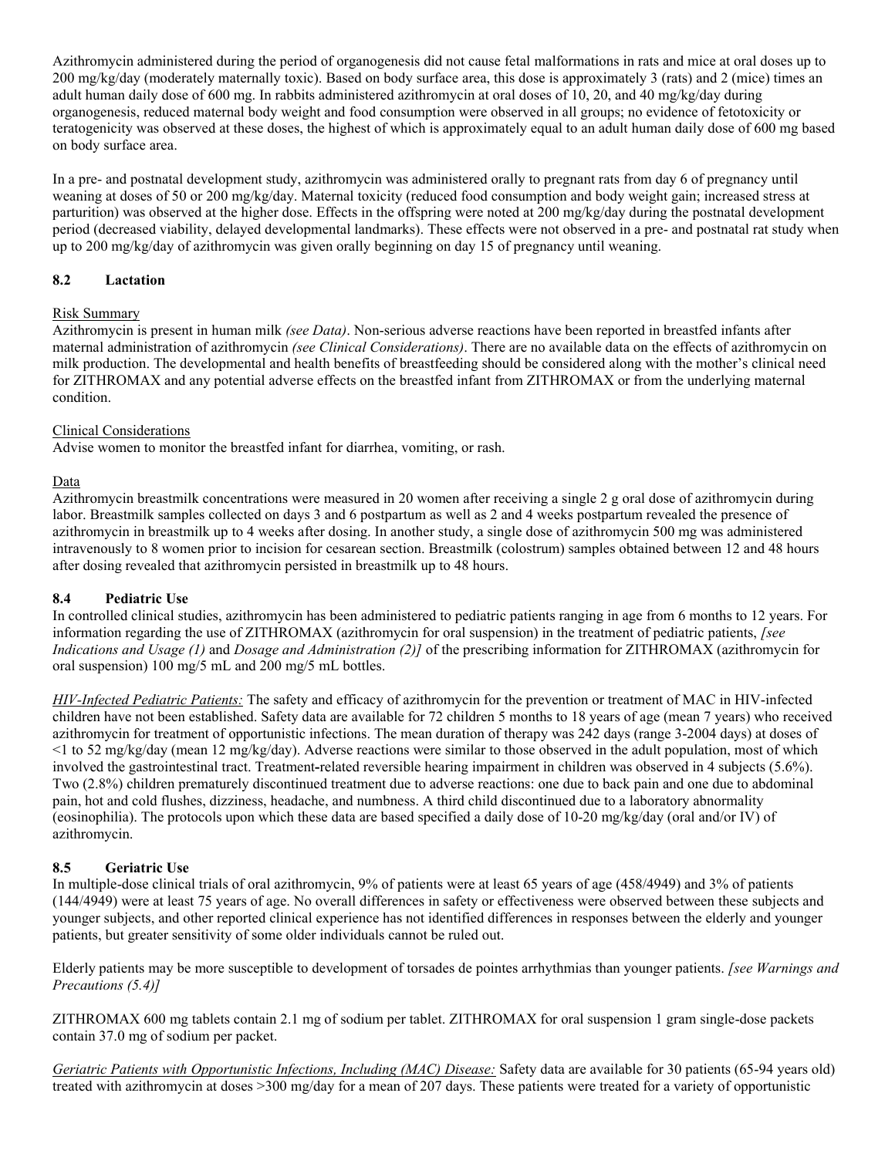Azithromycin administered during the period of organogenesis did not cause fetal malformations in rats and mice at oral doses up to 200 mg/kg/day (moderately maternally toxic). Based on body surface area, this dose is approximately 3 (rats) and 2 (mice) times an adult human daily dose of 600 mg. In rabbits administered azithromycin at oral doses of 10, 20, and 40 mg/kg/day during organogenesis, reduced maternal body weight and food consumption were observed in all groups; no evidence of fetotoxicity or teratogenicity was observed at these doses, the highest of which is approximately equal to an adult human daily dose of 600 mg based on body surface area.

In a pre- and postnatal development study, azithromycin was administered orally to pregnant rats from day 6 of pregnancy until weaning at doses of 50 or 200 mg/kg/day. Maternal toxicity (reduced food consumption and body weight gain; increased stress at parturition) was observed at the higher dose. Effects in the offspring were noted at 200 mg/kg/day during the postnatal development period (decreased viability, delayed developmental landmarks). These effects were not observed in a pre- and postnatal rat study when up to 200 mg/kg/day of azithromycin was given orally beginning on day 15 of pregnancy until weaning.

### **8.2 Lactation**

### Risk Summary

Azithromycin is present in human milk *(see Data)*. Non-serious adverse reactions have been reported in breastfed infants after maternal administration of azithromycin *(see Clinical Considerations)*. There are no available data on the effects of azithromycin on milk production. The developmental and health benefits of breastfeeding should be considered along with the mother's clinical need for ZITHROMAX and any potential adverse effects on the breastfed infant from ZITHROMAX or from the underlying maternal condition.

### Clinical Considerations

Advise women to monitor the breastfed infant for diarrhea, vomiting, or rash.

### Data

Azithromycin breastmilk concentrations were measured in 20 women after receiving a single 2 g oral dose of azithromycin during labor. Breastmilk samples collected on days 3 and 6 postpartum as well as 2 and 4 weeks postpartum revealed the presence of azithromycin in breastmilk up to 4 weeks after dosing. In another study, a single dose of azithromycin 500 mg was administered intravenously to 8 women prior to incision for cesarean section. Breastmilk (colostrum) samples obtained between 12 and 48 hours after dosing revealed that azithromycin persisted in breastmilk up to 48 hours.

### **8.4 Pediatric Use**

In controlled clinical studies, azithromycin has been administered to pediatric patients ranging in age from 6 months to 12 years. For information regarding the use of ZITHROMAX (azithromycin for oral suspension) in the treatment of pediatric patients, *[see Indications and Usage (1)* and *Dosage and Administration (2)]* of the prescribing information for ZITHROMAX (azithromycin for oral suspension) 100 mg/5 mL and 200 mg/5 mL bottles.

*HIV-Infected Pediatric Patients:* The safety and efficacy of azithromycin for the prevention or treatment of MAC in HIV-infected children have not been established. Safety data are available for 72 children 5 months to 18 years of age (mean 7 years) who received azithromycin for treatment of opportunistic infections. The mean duration of therapy was 242 days (range 3-2004 days) at doses of  $\leq$  1 to 52 mg/kg/day (mean 12 mg/kg/day). Adverse reactions were similar to those observed in the adult population, most of which involved the gastrointestinal tract. Treatment**-**related reversible hearing impairment in children was observed in 4 subjects (5.6%). Two (2.8%) children prematurely discontinued treatment due to adverse reactions: one due to back pain and one due to abdominal pain, hot and cold flushes, dizziness, headache, and numbness. A third child discontinued due to a laboratory abnormality (eosinophilia). The protocols upon which these data are based specified a daily dose of 10-20 mg/kg/day (oral and/or IV) of azithromycin.

## **8.5 Geriatric Use**

In multiple-dose clinical trials of oral azithromycin, 9% of patients were at least 65 years of age (458/4949) and 3% of patients (144/4949) were at least 75 years of age. No overall differences in safety or effectiveness were observed between these subjects and younger subjects, and other reported clinical experience has not identified differences in responses between the elderly and younger patients, but greater sensitivity of some older individuals cannot be ruled out.

Elderly patients may be more susceptible to development of torsades de pointes arrhythmias than younger patients. *[see Warnings and Precautions (5.4)]*

ZITHROMAX 600 mg tablets contain 2.1 mg of sodium per tablet. ZITHROMAX for oral suspension 1 gram single-dose packets contain 37.0 mg of sodium per packet.

*Geriatric Patients with Opportunistic Infections, Including (MAC) Disease:* Safety data are available for 30 patients (65-94 years old) treated with azithromycin at doses >300 mg/day for a mean of 207 days. These patients were treated for a variety of opportunistic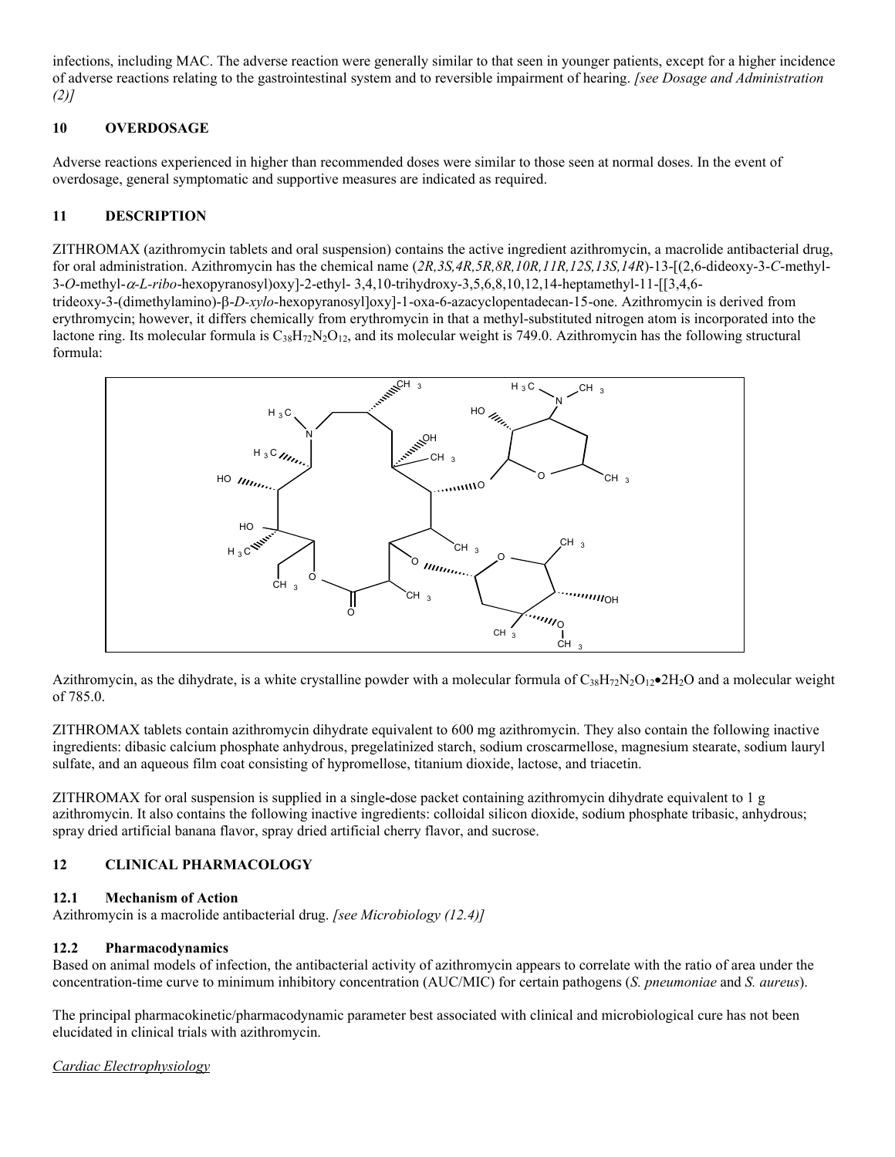infections, including MAC. The adverse reaction were generally similar to that seen in younger patients, except for a higher incidence of adverse reactions relating to the gastrointestinal system and to reversible impairment of hearing. *[see Dosage and Administration (2)]*

## **10 OVERDOSAGE**

Adverse reactions experienced in higher than recommended doses were similar to those seen at normal doses. In the event of overdosage, general symptomatic and supportive measures are indicated as required.

## **11 DESCRIPTION**

ZITHROMAX (azithromycin tablets and oral suspension) contains the active ingredient azithromycin, a macrolide antibacterial drug, for oral administration. Azithromycin has the chemical name (*2R,3S,4R,5R,8R,10R,11R,12S,13S,14R*)-13-[(2,6-dideoxy-3-*C*-methyl-3-*O*-methyl-*-L-ribo*-hexopyranosyl)oxy]-2-ethyl- 3,4,10-trihydroxy-3,5,6,8,10,12,14-heptamethyl-11-[[3,4,6 trideoxy-3-(dimethylamino)- $\beta$ -*D-xylo*-hexopyranosyl]oxy]-1-oxa-6-azacyclopentadecan-15-one. Azithromycin is derived from erythromycin; however, it differs chemically from erythromycin in that a methyl-substituted nitrogen atom is incorporated into the lactone ring. Its molecular formula is  $C_{38}H_{72}N_2O_{12}$ , and its molecular weight is 749.0. Azithromycin has the following structural formula:



Azithromycin, as the dihydrate, is a white crystalline powder with a molecular formula of  $C_{38}H_{72}N_2O_{12}$  $\bullet$  2H<sub>2</sub>O and a molecular weight of 785.0.

ZITHROMAX tablets contain azithromycin dihydrate equivalent to 600 mg azithromycin. They also contain the following inactive ingredients: dibasic calcium phosphate anhydrous, pregelatinized starch, sodium croscarmellose, magnesium stearate, sodium lauryl sulfate, and an aqueous film coat consisting of hypromellose, titanium dioxide, lactose, and triacetin.

ZITHROMAX for oral suspension is supplied in a single**-**dose packet containing azithromycin dihydrate equivalent to 1 g azithromycin. It also contains the following inactive ingredients: colloidal silicon dioxide, sodium phosphate tribasic, anhydrous; spray dried artificial banana flavor, spray dried artificial cherry flavor, and sucrose.

## **12 CLINICAL PHARMACOLOGY**

### **12.1 Mechanism of Action**

Azithromycin is a macrolide antibacterial drug. *[see Microbiology (12.4)]*

## **12.2 Pharmacodynamics**

Based on animal models of infection, the antibacterial activity of azithromycin appears to correlate with the ratio of area under the concentration-time curve to minimum inhibitory concentration (AUC/MIC) for certain pathogens (*S. pneumoniae* and *S. aureus*).

The principal pharmacokinetic/pharmacodynamic parameter best associated with clinical and microbiological cure has not been elucidated in clinical trials with azithromycin.

*Cardiac Electrophysiology*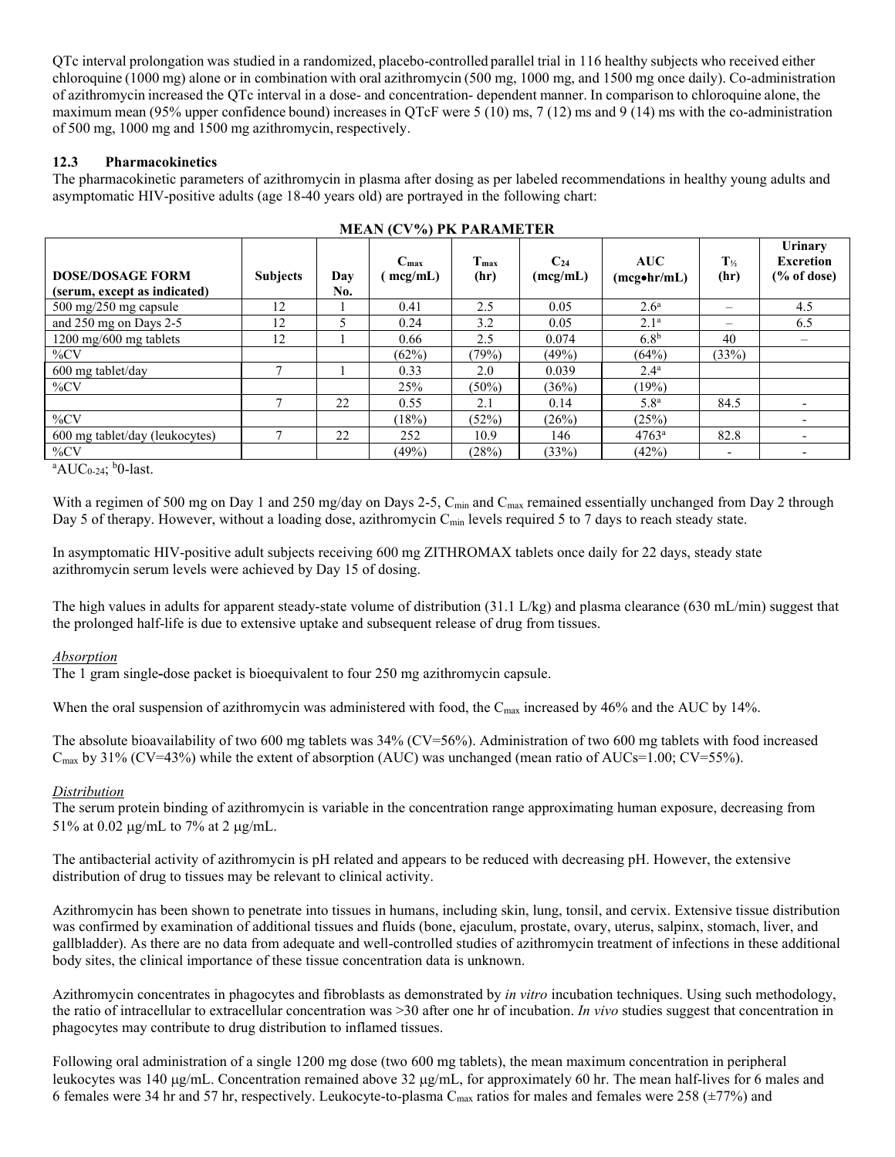QTc interval prolongation was studied in a randomized, placebo-controlled parallel trial in 116 healthy subjects who received either chloroquine (1000 mg) alone or in combination with oral azithromycin (500 mg, 1000 mg, and 1500 mg once daily). Co-administration of azithromycin increased the QTc interval in a dose- and concentration- dependent manner. In comparison to chloroquine alone, the maximum mean (95% upper confidence bound) increases in QTcF were 5 (10) ms, 7 (12) ms and 9 (14) ms with the co-administration of 500 mg, 1000 mg and 1500 mg azithromycin, respectively.

### **12.3 Pharmacokinetics**

The pharmacokinetic parameters of azithromycin in plasma after dosing as per labeled recommendations in healthy young adults and asymptomatic HIV-positive adults (age 18-40 years old) are portrayed in the following chart:

| <b>MEAN (CV%) PK PARAMETER</b>                          |                 |            |                             |                          |                      |                                        |                           |                                                       |
|---------------------------------------------------------|-----------------|------------|-----------------------------|--------------------------|----------------------|----------------------------------------|---------------------------|-------------------------------------------------------|
| <b>DOSE/DOSAGE FORM</b><br>(serum, except as indicated) | <b>Subjects</b> | Day<br>No. | $C_{\text{max}}$<br>mcg/mL) | T <sub>max</sub><br>(hr) | $C_{24}$<br>(mcg/mL) | <b>AUC</b><br>(mc <sub>g</sub> ohr/mL) | $T_{\frac{1}{2}}$<br>(hr) | Urinary<br><b>Excretion</b><br>$\frac{6}{6}$ of dose) |
| 500 mg/250 mg capsule                                   | 12              |            | 0.41                        | 2.5                      | 0.05                 | 2.6 <sup>a</sup>                       | $\overline{\phantom{a}}$  | 4.5                                                   |
| and 250 mg on Days 2-5                                  | 12              |            | 0.24                        | 3.2                      | 0.05                 | 2.1 <sup>a</sup>                       |                           | 6.5                                                   |
| 1200 mg/600 mg tablets                                  | 12              |            | 0.66                        | 2.5                      | 0.074                | 6.8 <sup>b</sup>                       | 40                        |                                                       |
| $\%CV$                                                  |                 |            | (62%)                       | (79%)                    | (49%)                | (64%)                                  | (33%)                     |                                                       |
| 600 mg tablet/day                                       |                 |            | 0.33                        | 2.0                      | 0.039                | $2.4^{\mathrm{a}}$                     |                           |                                                       |
| $\%CV$                                                  |                 |            | 25%                         | $(50\%)$                 | (36%)                | (19%)                                  |                           |                                                       |
|                                                         | Ξ               | 22         | 0.55                        | 2.1                      | 0.14                 | 5.8 <sup>a</sup>                       | 84.5                      | $\overline{\phantom{0}}$                              |
| $\%CV$                                                  |                 |            | (18%)                       | (52%)                    | (26%)                | (25%)                                  |                           | $\overline{\phantom{0}}$                              |
| 600 mg tablet/day (leukocytes)                          |                 | 22         | 252                         | 10.9                     | 146                  | $4763^a$                               | 82.8                      | $\overline{\phantom{0}}$                              |
| $\%CV$<br>$\mathbf{1}$ $\mathbf{1}$                     |                 |            | $(49\%)$                    | (28%)                    | (33%)                | (42%)                                  | $\overline{\phantom{a}}$  | $\overline{\phantom{0}}$                              |

#### $^{\circ}$ AUC<sub>0-24</sub>;  $^{\circ}$ 0-last.

With a regimen of 500 mg on Day 1 and 250 mg/day on Days 2-5, C<sub>min</sub> and C<sub>max</sub> remained essentially unchanged from Day 2 through Day 5 of therapy. However, without a loading dose, azithromycin C<sub>min</sub> levels required 5 to 7 days to reach steady state.

In asymptomatic HIV-positive adult subjects receiving 600 mg ZITHROMAX tablets once daily for 22 days, steady state azithromycin serum levels were achieved by Day 15 of dosing.

The high values in adults for apparent steady-state volume of distribution (31.1 L/kg) and plasma clearance (630 mL/min) suggest that the prolonged half-life is due to extensive uptake and subsequent release of drug from tissues.

### *Absorption*

The 1 gram single**-**dose packet is bioequivalent to four 250 mg azithromycin capsule.

When the oral suspension of azithromycin was administered with food, the C<sub>max</sub> increased by 46% and the AUC by 14%.

The absolute bioavailability of two 600 mg tablets was 34% (CV=56%). Administration of two 600 mg tablets with food increased  $C_{\text{max}}$  by 31% (CV=43%) while the extent of absorption (AUC) was unchanged (mean ratio of AUCs=1.00; CV=55%).

### *Distribution*

The serum protein binding of azithromycin is variable in the concentration range approximating human exposure, decreasing from 51% at 0.02  $\mu$ g/mL to 7% at 2  $\mu$ g/mL.

The antibacterial activity of azithromycin is pH related and appears to be reduced with decreasing pH. However, the extensive distribution of drug to tissues may be relevant to clinical activity.

Azithromycin has been shown to penetrate into tissues in humans, including skin, lung, tonsil, and cervix. Extensive tissue distribution was confirmed by examination of additional tissues and fluids (bone, ejaculum, prostate, ovary, uterus, salpinx, stomach, liver, and gallbladder). As there are no data from adequate and well-controlled studies of azithromycin treatment of infections in these additional body sites, the clinical importance of these tissue concentration data is unknown.

Azithromycin concentrates in phagocytes and fibroblasts as demonstrated by *in vitro* incubation techniques. Using such methodology, the ratio of intracellular to extracellular concentration was >30 after one hr of incubation. *In vivo* studies suggest that concentration in phagocytes may contribute to drug distribution to inflamed tissues.

Following oral administration of a single 1200 mg dose (two 600 mg tablets), the mean maximum concentration in peripheral leukocytes was 140  $\mu$ g/mL. Concentration remained above 32  $\mu$ g/mL, for approximately 60 hr. The mean half-lives for 6 males and 6 females were 34 hr and 57 hr, respectively. Leukocyte-to-plasma C<sub>max</sub> ratios for males and females were 258 ( $\pm$ 77%) and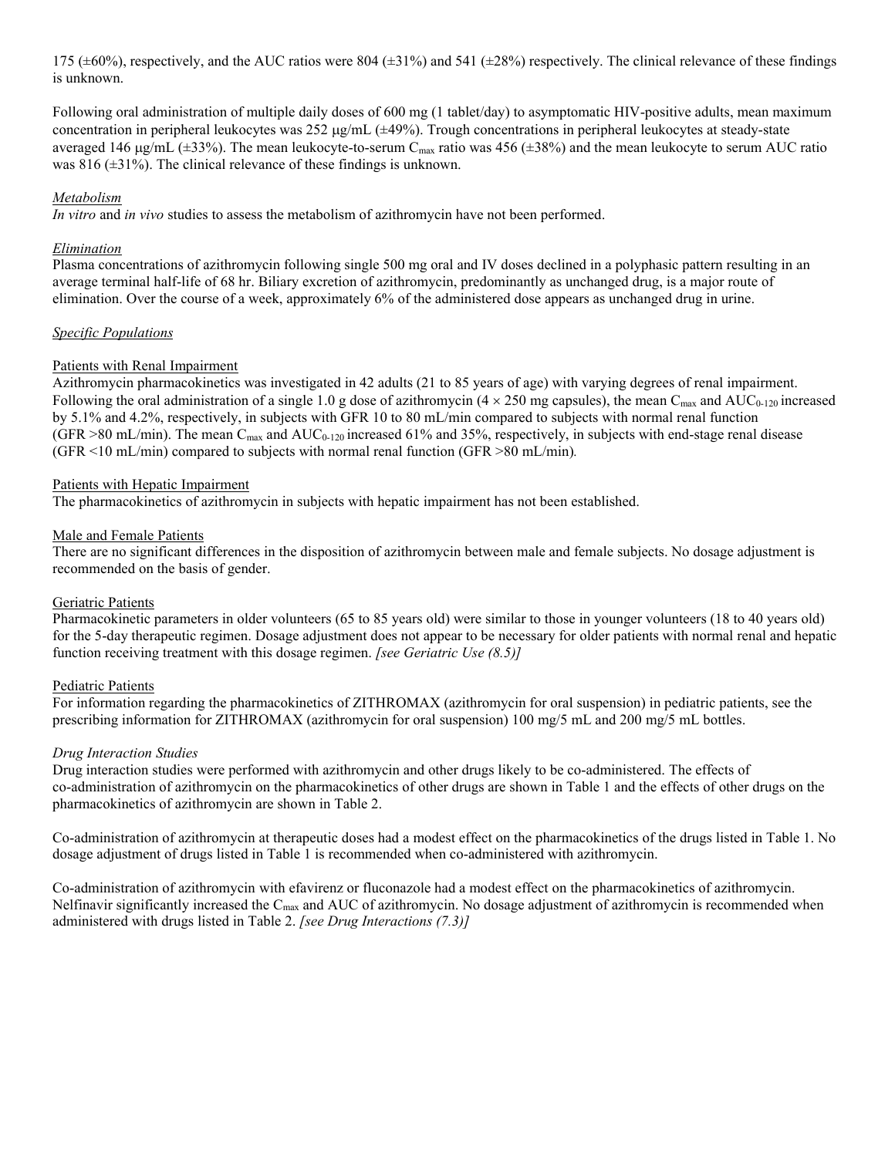175 ( $\pm 60\%$ ), respectively, and the AUC ratios were 804 ( $\pm 31\%$ ) and 541 ( $\pm 28\%$ ) respectively. The clinical relevance of these findings is unknown.

Following oral administration of multiple daily doses of 600 mg (1 tablet/day) to asymptomatic HIV-positive adults, mean maximum concentration in peripheral leukocytes was  $252 \mu g/mL$  ( $\pm 49\%$ ). Trough concentrations in peripheral leukocytes at steady-state averaged 146  $\mu$ g/mL ( $\pm$ 33%). The mean leukocyte-to-serum C<sub>max</sub> ratio was 456 ( $\pm$ 38%) and the mean leukocyte to serum AUC ratio was 816 ( $\pm$ 31%). The clinical relevance of these findings is unknown.

### *Metabolism*

*In vitro* and *in vivo* studies to assess the metabolism of azithromycin have not been performed.

#### *Elimination*

Plasma concentrations of azithromycin following single 500 mg oral and IV doses declined in a polyphasic pattern resulting in an average terminal half-life of 68 hr. Biliary excretion of azithromycin, predominantly as unchanged drug, is a major route of elimination. Over the course of a week, approximately 6% of the administered dose appears as unchanged drug in urine.

#### *Specific Populations*

#### Patients with Renal Impairment

Azithromycin pharmacokinetics was investigated in 42 adults (21 to 85 years of age) with varying degrees of renal impairment. Following the oral administration of a single 1.0 g dose of azithromycin ( $4 \times 250$  mg capsules), the mean C<sub>max</sub> and AUC<sub>0-120</sub> increased by 5.1% and 4.2%, respectively, in subjects with GFR 10 to 80 mL/min compared to subjects with normal renal function  $(GFR > 80 \text{ mL/min})$ . The mean C<sub>max</sub> and AUC<sub>0-120</sub> increased 61% and 35%, respectively, in subjects with end-stage renal disease (GFR <10 mL/min) compared to subjects with normal renal function (GFR >80 mL/min)*.*

#### Patients with Hepatic Impairment

The pharmacokinetics of azithromycin in subjects with hepatic impairment has not been established.

#### Male and Female Patients

There are no significant differences in the disposition of azithromycin between male and female subjects. No dosage adjustment is recommended on the basis of gender.

#### Geriatric Patients

Pharmacokinetic parameters in older volunteers (65 to 85 years old) were similar to those in younger volunteers (18 to 40 years old) for the 5-day therapeutic regimen. Dosage adjustment does not appear to be necessary for older patients with normal renal and hepatic function receiving treatment with this dosage regimen. *[see Geriatric Use (8.5)]*

#### Pediatric Patients

For information regarding the pharmacokinetics of ZITHROMAX (azithromycin for oral suspension) in pediatric patients, see the prescribing information for ZITHROMAX (azithromycin for oral suspension) 100 mg/5 mL and 200 mg/5 mL bottles.

#### *Drug Interaction Studies*

Drug interaction studies were performed with azithromycin and other drugs likely to be co-administered. The effects of co-administration of azithromycin on the pharmacokinetics of other drugs are shown in Table 1 and the effects of other drugs on the pharmacokinetics of azithromycin are shown in Table 2.

Co-administration of azithromycin at therapeutic doses had a modest effect on the pharmacokinetics of the drugs listed in Table 1. No dosage adjustment of drugs listed in Table 1 is recommended when co-administered with azithromycin.

Co-administration of azithromycin with efavirenz or fluconazole had a modest effect on the pharmacokinetics of azithromycin. Nelfinavir significantly increased the  $C_{\text{max}}$  and AUC of azithromycin. No dosage adjustment of azithromycin is recommended when administered with drugs listed in Table 2. *[see Drug Interactions (7.3)]*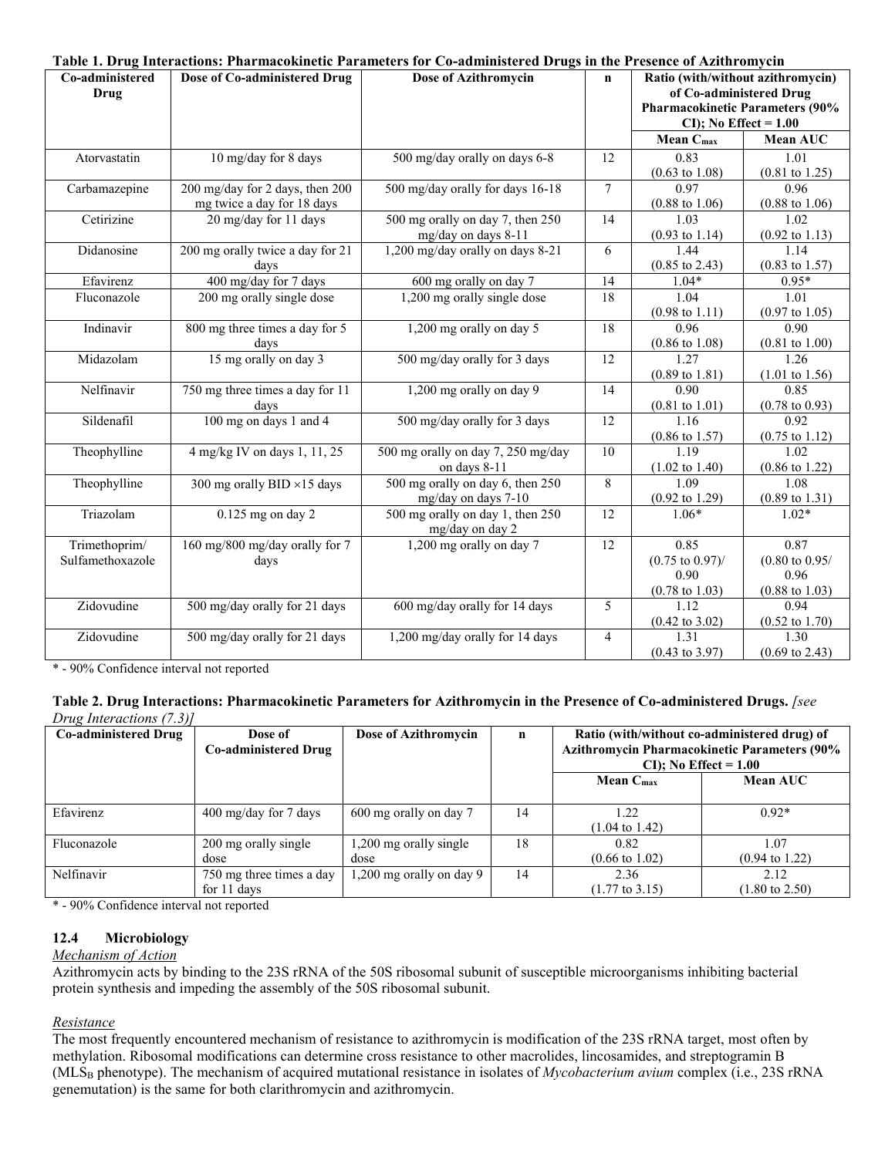|                                |                                    | Table 1. Drug Interactions: Pharmacokinetic Parameters for Co-administered Drugs in the Presence of Azithromycin |                |                                                              |                                   |
|--------------------------------|------------------------------------|------------------------------------------------------------------------------------------------------------------|----------------|--------------------------------------------------------------|-----------------------------------|
| Co-administered<br><b>Drug</b> | Dose of Co-administered Drug       | Dose of Azithromycin                                                                                             | $\mathbf n$    | Ratio (with/without azithromycin)<br>of Co-administered Drug |                                   |
|                                |                                    |                                                                                                                  |                | <b>Pharmacokinetic Parameters (90%</b>                       |                                   |
|                                |                                    |                                                                                                                  |                | $CI$ ); No Effect = 1.00                                     |                                   |
|                                |                                    |                                                                                                                  |                | Mean C <sub>max</sub>                                        | Mean AUC                          |
| Atorvastatin                   | $10$ mg/day for 8 days             | 500 mg/day orally on days 6-8                                                                                    | 12             | 0.83                                                         | 1.01                              |
|                                |                                    |                                                                                                                  |                | $(0.63 \text{ to } 1.08)$                                    | $(0.81 \text{ to } 1.25)$         |
| Carbamazepine                  | 200 mg/day for 2 days, then 200    | 500 mg/day orally for days 16-18                                                                                 | $\tau$         | 0.97                                                         | 0.96                              |
|                                | mg twice a day for 18 days         |                                                                                                                  |                | $(0.88 \text{ to } 1.06)$                                    | $(0.88 \text{ to } 1.06)$         |
| Cetirizine                     | 20 mg/day for 11 days              | 500 mg orally on day 7, then 250                                                                                 | 14             | 1.03                                                         | 1.02                              |
|                                |                                    | mg/day on days 8-11                                                                                              |                | $(0.93 \text{ to } 1.14)$                                    | $(0.92 \text{ to } 1.13)$         |
| Didanosine                     | 200 mg orally twice a day for 21   | 1,200 mg/day orally on days 8-21                                                                                 | 6              | 1.44                                                         | 1.14                              |
|                                | davs                               |                                                                                                                  |                | $(0.85 \text{ to } 2.43)$                                    | $(0.83 \text{ to } 1.57)$         |
| Efavirenz                      | 400 mg/day for 7 days              | 600 mg orally on day 7                                                                                           | 14             | $1.04*$                                                      | $0.95*$                           |
| Fluconazole                    | 200 mg orally single dose          | 1,200 mg orally single dose                                                                                      | 18             | 1.04                                                         | 1.01                              |
|                                |                                    |                                                                                                                  |                | $(0.98 \text{ to } 1.11)$                                    | $(0.97 \text{ to } 1.05)$         |
| Indinavir                      | 800 mg three times a day for 5     | 1,200 mg orally on day 5                                                                                         | 18             | 0.96                                                         | 0.90                              |
|                                | days                               |                                                                                                                  |                | $(0.86 \text{ to } 1.08)$                                    | $(0.81 \text{ to } 1.00)$         |
| Midazolam                      | 15 mg orally on day 3              | 500 mg/day orally for 3 days                                                                                     | 12             | 1.27                                                         | 1.26                              |
|                                |                                    |                                                                                                                  |                | $(0.89 \text{ to } 1.81)$                                    | $(1.01 \text{ to } 1.56)$         |
| Nelfinavir                     | 750 mg three times a day for 11    | 1,200 mg orally on day 9                                                                                         | 14             | 0.90                                                         | 0.85                              |
|                                | days                               |                                                                                                                  |                | $(0.81 \text{ to } 1.01)$                                    | $(0.78 \text{ to } 0.93)$         |
| Sildenafil                     | 100 mg on days 1 and 4             | 500 mg/day orally for 3 days                                                                                     | 12             | 1.16                                                         | 0.92                              |
| Theophylline                   | 4 mg/kg IV on days 1, 11, 25       |                                                                                                                  | 10             | $(0.86 \text{ to } 1.57)$<br>1.19                            | $(0.75 \text{ to } 1.12)$<br>1.02 |
|                                |                                    | 500 mg orally on day 7, 250 mg/day<br>on days 8-11                                                               |                | $(1.02 \text{ to } 1.40)$                                    | $(0.86 \text{ to } 1.22)$         |
| Theophylline                   |                                    | 500 mg orally on day 6, then 250                                                                                 | 8              | 1.09                                                         | 1.08                              |
|                                | 300 mg orally BID $\times$ 15 days | mg/day on days 7-10                                                                                              |                | $(0.92 \text{ to } 1.29)$                                    | $(0.89 \text{ to } 1.31)$         |
| Triazolam                      | $0.125$ mg on day 2                | 500 mg orally on day 1, then 250                                                                                 | 12             | $1.06*$                                                      | $1.02*$                           |
|                                |                                    | mg/day on day 2                                                                                                  |                |                                                              |                                   |
| Trimethoprim/                  | 160 mg/800 mg/day orally for 7     | 1,200 mg orally on day 7                                                                                         | 12             | 0.85                                                         | 0.87                              |
| Sulfamethoxazole               | days                               |                                                                                                                  |                | $(0.75 \text{ to } 0.97)$ /                                  | $(0.80 \text{ to } 0.95)$         |
|                                |                                    |                                                                                                                  |                | 0.90                                                         | 0.96                              |
|                                |                                    |                                                                                                                  |                | $(0.78 \text{ to } 1.03)$                                    | $(0.88 \text{ to } 1.03)$         |
| Zidovudine                     | 500 mg/day orally for 21 days      | 600 mg/day orally for 14 days                                                                                    | 5              | 1.12                                                         | 0.94                              |
|                                |                                    |                                                                                                                  |                | $(0.42 \text{ to } 3.02)$                                    | $(0.52 \text{ to } 1.70)$         |
| Zidovudine                     | 500 mg/day orally for 21 days      | 1,200 mg/day orally for 14 days                                                                                  | $\overline{4}$ | 1.31                                                         | 1.30                              |
|                                |                                    |                                                                                                                  |                | $(0.43 \text{ to } 3.97)$                                    | $(0.69 \text{ to } 2.43)$         |

\* - 90% Confidence interval not reported

| Table 2. Drug Interactions: Pharmacokinetic Parameters for Azithromycin in the Presence of Co-administered Drugs. [see |  |
|------------------------------------------------------------------------------------------------------------------------|--|
| Drug Interactions (7.3)]                                                                                               |  |

| <b>Co-administered Drug</b> | Dose of<br><b>Co-administered Drug</b>  | Dose of Azithromycin           | $\mathbf n$ | Ratio (with/without co-administered drug) of<br><b>Azithromycin Pharmacokinetic Parameters (90%</b><br>$CI$ ); No Effect = 1.00 |                                   |
|-----------------------------|-----------------------------------------|--------------------------------|-------------|---------------------------------------------------------------------------------------------------------------------------------|-----------------------------------|
|                             |                                         |                                |             | Mean C <sub>max</sub>                                                                                                           | <b>Mean AUC</b>                   |
| Efavirenz                   | $400 \text{ mg/day}$ for 7 days         | 600 mg orally on day 7         | 14          | 1.22<br>$(1.04 \text{ to } 1.42)$                                                                                               | $0.92*$                           |
| Fluconazole                 | 200 mg orally single<br>dose            | 1,200 mg orally single<br>dose | 18          | 0.82<br>$(0.66 \text{ to } 1.02)$                                                                                               | 1.07<br>$(0.94 \text{ to } 1.22)$ |
| Nelfinavir                  | 750 mg three times a day<br>for 11 days | 1,200 mg orally on day 9       | 14          | 2.36<br>$(1.77 \text{ to } 3.15)$                                                                                               | 2.12<br>$(1.80 \text{ to } 2.50)$ |

\* - 90% Confidence interval not reported

## **12.4 Microbiology**

## *Mechanism of Action*

Azithromycin acts by binding to the 23S rRNA of the 50S ribosomal subunit of susceptible microorganisms inhibiting bacterial protein synthesis and impeding the assembly of the 50S ribosomal subunit.

### *Resistance*

The most frequently encountered mechanism of resistance to azithromycin is modification of the 23S rRNA target, most often by methylation. Ribosomal modifications can determine cross resistance to other macrolides, lincosamides, and streptogramin B (MLS<sup>B</sup> phenotype). The mechanism of acquired mutational resistance in isolates of *Mycobacterium avium* complex (i.e., 23S rRNA genemutation) is the same for both clarithromycin and azithromycin.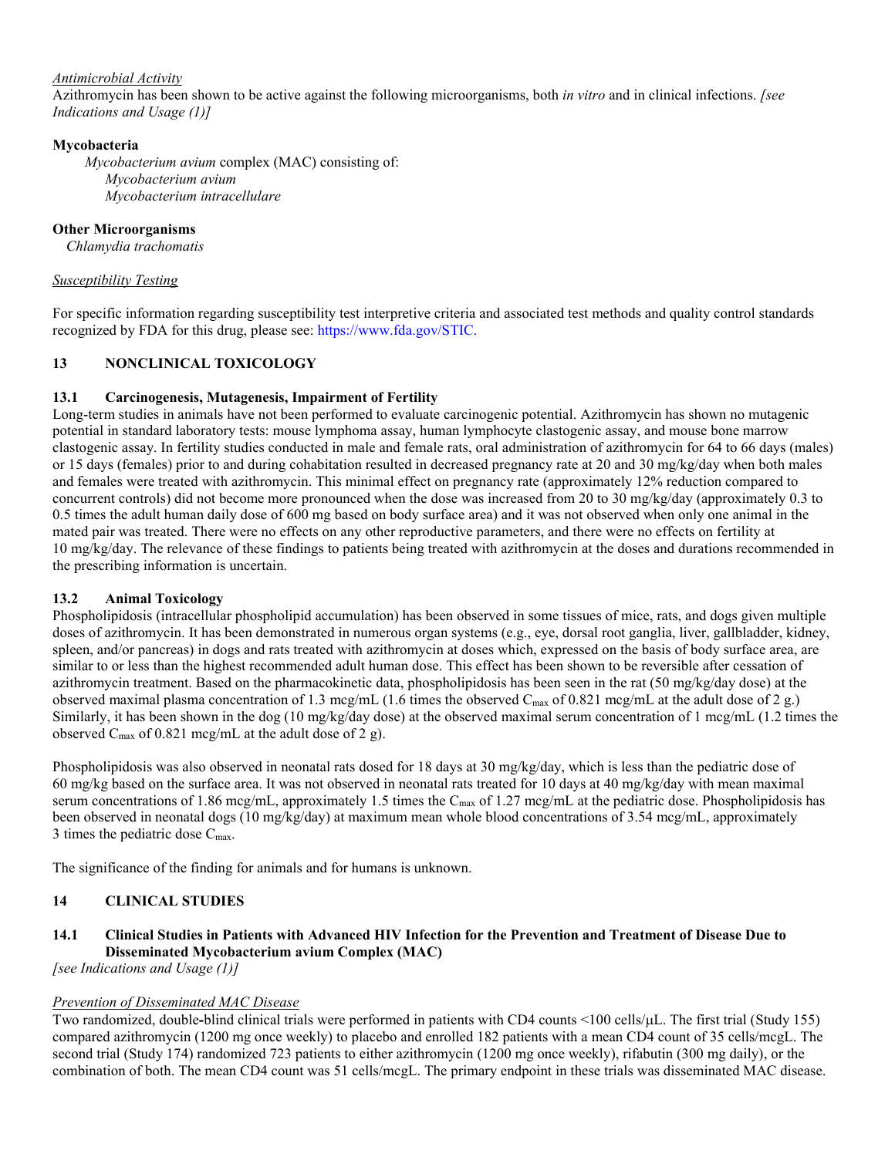### *Antimicrobial Activity*

Azithromycin has been shown to be active against the following microorganisms, both *in vitro* and in clinical infections. *[see Indications and Usage (1)]*

### **Mycobacteria**

*Mycobacterium avium* complex (MAC) consisting of: *Mycobacterium avium Mycobacterium intracellulare*

### **Other Microorganisms**

*Chlamydia trachomatis*

### *Susceptibility Testing*

For specific information regarding susceptibility test interpretive criteria and associated test methods and quality control standards recognized by FDA for this drug, please see: <https://www.fda.gov/STIC>.

### **13 NONCLINICAL TOXICOLOGY**

### **13.1 Carcinogenesis, Mutagenesis, Impairment of Fertility**

Long-term studies in animals have not been performed to evaluate carcinogenic potential. Azithromycin has shown no mutagenic potential in standard laboratory tests: mouse lymphoma assay, human lymphocyte clastogenic assay, and mouse bone marrow clastogenic assay. In fertility studies conducted in male and female rats, oral administration of azithromycin for 64 to 66 days (males) or 15 days (females) prior to and during cohabitation resulted in decreased pregnancy rate at 20 and 30 mg/kg/day when both males and females were treated with azithromycin. This minimal effect on pregnancy rate (approximately 12% reduction compared to concurrent controls) did not become more pronounced when the dose was increased from 20 to 30 mg/kg/day (approximately 0.3 to 0.5 times the adult human daily dose of 600 mg based on body surface area) and it was not observed when only one animal in the mated pair was treated. There were no effects on any other reproductive parameters, and there were no effects on fertility at 10 mg/kg/day. The relevance of these findings to patients being treated with azithromycin at the doses and durations recommended in the prescribing information is uncertain.

## **13.2 Animal Toxicology**

Phospholipidosis (intracellular phospholipid accumulation) has been observed in some tissues of mice, rats, and dogs given multiple doses of azithromycin. It has been demonstrated in numerous organ systems (e.g., eye, dorsal root ganglia, liver, gallbladder, kidney, spleen, and/or pancreas) in dogs and rats treated with azithromycin at doses which, expressed on the basis of body surface area, are similar to or less than the highest recommended adult human dose. This effect has been shown to be reversible after cessation of azithromycin treatment. Based on the pharmacokinetic data, phospholipidosis has been seen in the rat (50 mg/kg/day dose) at the observed maximal plasma concentration of 1.3 mcg/mL (1.6 times the observed C<sub>max</sub> of 0.821 mcg/mL at the adult dose of 2 g.) Similarly, it has been shown in the dog (10 mg/kg/day dose) at the observed maximal serum concentration of 1 mcg/mL (1.2 times the observed  $C_{\text{max}}$  of 0.821 mcg/mL at the adult dose of 2 g).

Phospholipidosis was also observed in neonatal rats dosed for 18 days at 30 mg/kg/day, which is less than the pediatric dose of 60 mg/kg based on the surface area. It was not observed in neonatal rats treated for 10 days at 40 mg/kg/day with mean maximal serum concentrations of 1.86 mcg/mL, approximately 1.5 times the C<sub>max</sub> of 1.27 mcg/mL at the pediatric dose. Phospholipidosis has been observed in neonatal dogs (10 mg/kg/day) at maximum mean whole blood concentrations of 3.54 mcg/mL, approximately 3 times the pediatric dose Cmax.

The significance of the finding for animals and for humans is unknown.

## **14 CLINICAL STUDIES**

## **14.1 Clinical Studies in Patients with Advanced HIV Infection for the Prevention and Treatment of Disease Due to Disseminated Mycobacterium avium Complex (MAC)**

*[see Indications and Usage (1)]*

### *Prevention of Disseminated MAC Disease*

Two randomized, double-blind clinical trials were performed in patients with CD4 counts <100 cells/ $\mu$ L. The first trial (Study 155) compared azithromycin (1200 mg once weekly) to placebo and enrolled 182 patients with a mean CD4 count of 35 cells/mcgL. The second trial (Study 174) randomized 723 patients to either azithromycin (1200 mg once weekly), rifabutin (300 mg daily), or the combination of both. The mean CD4 count was 51 cells/mcgL. The primary endpoint in these trials was disseminated MAC disease.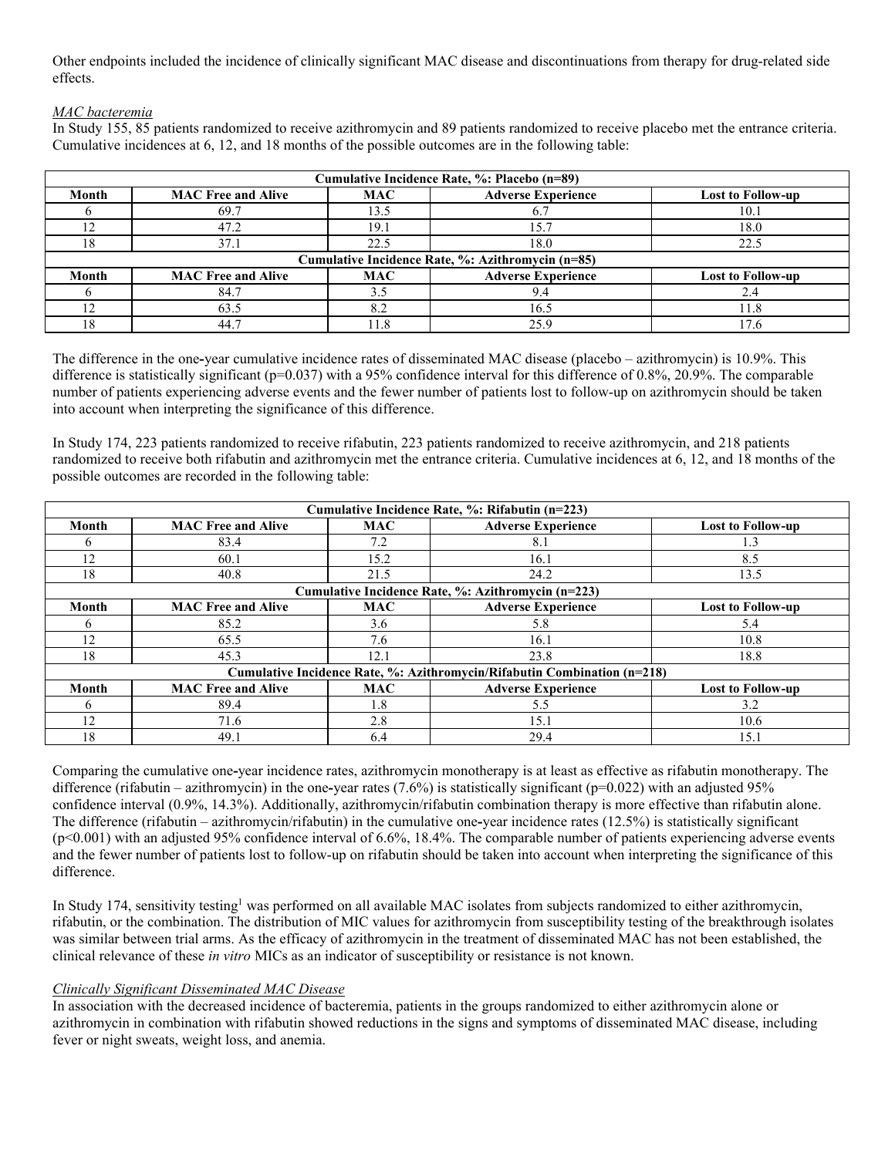Other endpoints included the incidence of clinically significant MAC disease and discontinuations from therapy for drug-related side effects.

### *MAC bacteremia*

In Study 155, 85 patients randomized to receive azithromycin and 89 patients randomized to receive placebo met the entrance criteria. Cumulative incidences at 6, 12, and 18 months of the possible outcomes are in the following table:

| Cumulative Incidence Rate, %: Placebo (n=89) |                                                   |            |                           |                          |  |  |  |
|----------------------------------------------|---------------------------------------------------|------------|---------------------------|--------------------------|--|--|--|
| Month                                        | <b>MAC Free and Alive</b>                         | <b>MAC</b> | <b>Adverse Experience</b> | <b>Lost to Follow-up</b> |  |  |  |
|                                              | 69.7                                              | 13.5       | 6.7                       | 10.1                     |  |  |  |
|                                              | 47.2                                              | 19.1       | 15.7                      | 18.0                     |  |  |  |
| 18                                           | 37.1                                              | 22.5       | 18.0                      | 22.5                     |  |  |  |
|                                              | Cumulative Incidence Rate, %: Azithromycin (n=85) |            |                           |                          |  |  |  |
| Month                                        | <b>MAC Free and Alive</b>                         | <b>MAC</b> | <b>Adverse Experience</b> | <b>Lost to Follow-up</b> |  |  |  |
|                                              | 84.7                                              |            | 9.4                       | 2.4                      |  |  |  |
|                                              |                                                   |            |                           |                          |  |  |  |
|                                              | 63.5                                              | 8.2        | 16.5                      | 11.8                     |  |  |  |

The difference in the one**-**year cumulative incidence rates of disseminated MAC disease (placebo – azithromycin) is 10.9%. This difference is statistically significant (p=0.037) with a 95% confidence interval for this difference of 0.8%, 20.9%. The comparable number of patients experiencing adverse events and the fewer number of patients lost to follow-up on azithromycin should be taken into account when interpreting the significance of this difference.

In Study 174, 223 patients randomized to receive rifabutin, 223 patients randomized to receive azithromycin, and 218 patients randomized to receive both rifabutin and azithromycin met the entrance criteria. Cumulative incidences at 6, 12, and 18 months of the possible outcomes are recorded in the following table:

| Cumulative Incidence Rate, %: Rifabutin (n=223) |                                                                          |            |                                                    |                          |  |  |
|-------------------------------------------------|--------------------------------------------------------------------------|------------|----------------------------------------------------|--------------------------|--|--|
| Month                                           | <b>MAC Free and Alive</b>                                                | <b>MAC</b> | <b>Adverse Experience</b>                          | <b>Lost to Follow-up</b> |  |  |
|                                                 | 83.4                                                                     | 7.2        | 8.1                                                | 1.3                      |  |  |
| 12                                              | 60.1                                                                     | 15.2       | 16.1                                               | 8.5                      |  |  |
| 18                                              | 40.8                                                                     | 21.5       | 24.2                                               | 13.5                     |  |  |
|                                                 |                                                                          |            | Cumulative Incidence Rate, %: Azithromycin (n=223) |                          |  |  |
| Month                                           | <b>MAC Free and Alive</b>                                                | <b>MAC</b> | <b>Adverse Experience</b>                          | <b>Lost to Follow-up</b> |  |  |
| n.                                              | 85.2                                                                     | 3.6        | 5.8                                                | 5.4                      |  |  |
| 12                                              | 65.5                                                                     | 7.6        | 16.1                                               | 10.8                     |  |  |
| 18                                              | 45.3                                                                     | 12.1       | 23.8                                               | 18.8                     |  |  |
|                                                 | Cumulative Incidence Rate, %: Azithromycin/Rifabutin Combination (n=218) |            |                                                    |                          |  |  |
| Month                                           | <b>MAC Free and Alive</b>                                                | <b>MAC</b> | <b>Adverse Experience</b>                          | <b>Lost to Follow-up</b> |  |  |
|                                                 | 89.4                                                                     | 1.8        | 5.5                                                | 3.2                      |  |  |
| 12                                              | 71.6                                                                     | 2.8        | 15.1                                               | 10.6                     |  |  |
| 18                                              | 49.1                                                                     | 6.4        | 29.4                                               | 15.1                     |  |  |

Comparing the cumulative one**-**year incidence rates, azithromycin monotherapy is at least as effective as rifabutin monotherapy. The difference (rifabutin – azithromycin) in the one**-**year rates (7.6%) is statistically significant (p=0.022) with an adjusted 95% confidence interval (0.9%, 14.3%). Additionally, azithromycin/rifabutin combination therapy is more effective than rifabutin alone. The difference (rifabutin – azithromycin/rifabutin) in the cumulative one**-**year incidence rates (12.5%) is statistically significant  $(p<0.001)$  with an adjusted 95% confidence interval of 6.6%, 18.4%. The comparable number of patients experiencing adverse events and the fewer number of patients lost to follow-up on rifabutin should be taken into account when interpreting the significance of this difference.

In Study 174, sensitivity testing<sup>1</sup> was performed on all available MAC isolates from subjects randomized to either azithromycin, rifabutin, or the combination. The distribution of MIC values for azithromycin from susceptibility testing of the breakthrough isolates was similar between trial arms. As the efficacy of azithromycin in the treatment of disseminated MAC has not been established, the clinical relevance of these *in vitro* MICs as an indicator of susceptibility or resistance is not known.

### *Clinically Significant Disseminated MAC Disease*

In association with the decreased incidence of bacteremia, patients in the groups randomized to either azithromycin alone or azithromycin in combination with rifabutin showed reductions in the signs and symptoms of disseminated MAC disease, including fever or night sweats, weight loss, and anemia.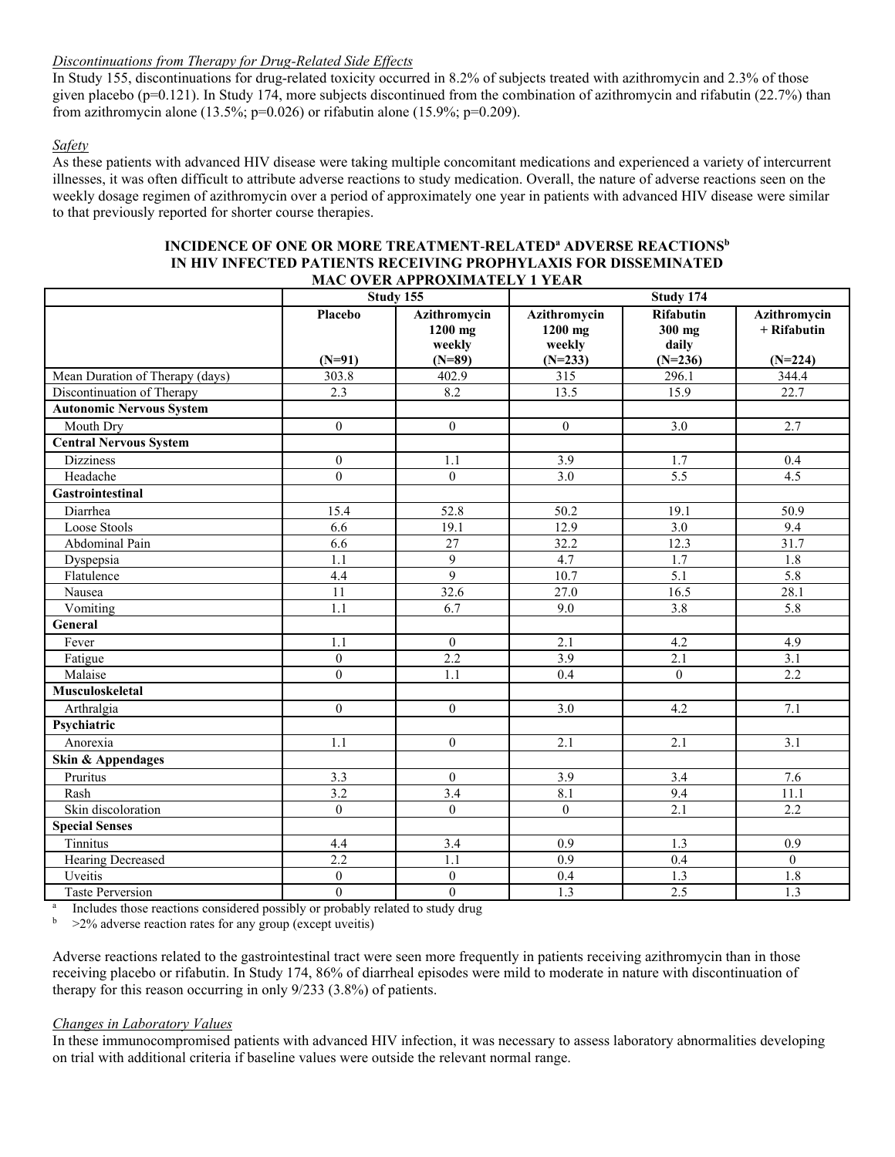### *Discontinuations from Therapy for Drug-Related Side Effects*

In Study 155, discontinuations for drug-related toxicity occurred in 8.2% of subjects treated with azithromycin and 2.3% of those given placebo (p=0.121). In Study 174, more subjects discontinued from the combination of azithromycin and rifabutin (22.7%) than from azithromycin alone (13.5%; p=0.026) or rifabutin alone (15.9%; p=0.209).

### *Safety*

As these patients with advanced HIV disease were taking multiple concomitant medications and experienced a variety of intercurrent illnesses, it was often difficult to attribute adverse reactions to study medication. Overall, the nature of adverse reactions seen on the weekly dosage regimen of azithromycin over a period of approximately one year in patients with advanced HIV disease were similar to that previously reported for shorter course therapies.

| MAC OVER APPROXIMATELY 1 YEAR   |                            |                                               |                                                |                                                  |                                            |  |  |  |
|---------------------------------|----------------------------|-----------------------------------------------|------------------------------------------------|--------------------------------------------------|--------------------------------------------|--|--|--|
|                                 |                            | Study 155                                     | Study 174                                      |                                                  |                                            |  |  |  |
|                                 | <b>Placebo</b><br>$(N=91)$ | Azithromycin<br>1200 mg<br>weekly<br>$(N=89)$ | Azithromycin<br>1200 mg<br>weekly<br>$(N=233)$ | <b>Rifabutin</b><br>300 mg<br>daily<br>$(N=236)$ | Azithromycin<br>$+$ Rifabutin<br>$(N=224)$ |  |  |  |
| Mean Duration of Therapy (days) | 303.8                      | 402.9                                         | 315                                            | 296.1                                            | 344.4                                      |  |  |  |
| Discontinuation of Therapy      | 2.3                        | 8.2                                           | 13.5                                           | 15.9                                             | 22.7                                       |  |  |  |
| <b>Autonomic Nervous System</b> |                            |                                               |                                                |                                                  |                                            |  |  |  |
| Mouth Dry                       | $\boldsymbol{0}$           | $\boldsymbol{0}$                              | $\boldsymbol{0}$                               | 3.0                                              | 2.7                                        |  |  |  |
| <b>Central Nervous System</b>   |                            |                                               |                                                |                                                  |                                            |  |  |  |
| <b>Dizziness</b>                | $\boldsymbol{0}$           | 1.1                                           | 3.9                                            | 1.7                                              | 0.4                                        |  |  |  |
| Headache                        | $\boldsymbol{0}$           | $\mathbf{0}$                                  | 3.0                                            | $\overline{5.5}$                                 | 4.5                                        |  |  |  |
| <b>Gastrointestinal</b>         |                            |                                               |                                                |                                                  |                                            |  |  |  |
| Diarrhea                        | 15.4                       | 52.8                                          | 50.2                                           | 19.1                                             | 50.9                                       |  |  |  |
| Loose Stools                    | 6.6                        | 19.1                                          | 12.9                                           | $\overline{3.0}$                                 | 9.4                                        |  |  |  |
| Abdominal Pain                  | 6.6                        | 27                                            | 32.2                                           | 12.3                                             | 31.7                                       |  |  |  |
| Dyspepsia                       | $\overline{1.1}$           | $\overline{9}$                                | 4.7                                            | $\overline{1.7}$                                 | 1.8                                        |  |  |  |
| Flatulence                      | 4.4                        | $\overline{9}$                                | 10.7                                           | $\overline{5.1}$                                 | 5.8                                        |  |  |  |
| Nausea                          | 11                         | 32.6                                          | 27.0                                           | 16.5                                             | 28.1                                       |  |  |  |
| Vomiting                        | 1.1                        | 6.7                                           | 9.0                                            | $\overline{3.8}$                                 | 5.8                                        |  |  |  |
| General                         |                            |                                               |                                                |                                                  |                                            |  |  |  |
| Fever                           | 1.1                        | $\mathbf{0}$                                  | 2.1                                            | 4.2                                              | 4.9                                        |  |  |  |
| Fatigue                         | $\boldsymbol{0}$           | 2.2                                           | 3.9                                            | 2.1                                              | 3.1                                        |  |  |  |
| Malaise                         | $\mathbf{0}$               | 1.1                                           | 0.4                                            | $\boldsymbol{0}$                                 | 2.2                                        |  |  |  |
| Musculoskeletal                 |                            |                                               |                                                |                                                  |                                            |  |  |  |
| Arthralgia                      | $\mathbf{0}$               | $\mathbf{0}$                                  | 3.0                                            | 4.2                                              | 7.1                                        |  |  |  |
| Psychiatric                     |                            |                                               |                                                |                                                  |                                            |  |  |  |
| Anorexia                        | 1.1                        | $\mathbf{0}$                                  | 2.1                                            | 2.1                                              | 3.1                                        |  |  |  |
| Skin & Appendages               |                            |                                               |                                                |                                                  |                                            |  |  |  |
| Pruritus                        | 3.3                        | $\mathbf{0}$                                  | 3.9                                            | 3.4                                              | 7.6                                        |  |  |  |
| Rash                            | 3.2                        | $\overline{3.4}$                              | 8.1                                            | 9.4                                              | 11.1                                       |  |  |  |
| Skin discoloration              | $\mathbf{0}$               | $\mathbf{0}$                                  | $\boldsymbol{0}$                               | 2.1                                              | 2.2                                        |  |  |  |
| <b>Special Senses</b>           |                            |                                               |                                                |                                                  |                                            |  |  |  |
| Tinnitus                        | 4.4                        | 3.4                                           | 0.9                                            | 1.3                                              | 0.9                                        |  |  |  |
| Hearing Decreased               | 2.2                        | 1.1                                           | 0.9                                            | 0.4                                              | $\mathbf{0}$                               |  |  |  |
| Uveitis                         | $\overline{0}$             | $\boldsymbol{0}$                              | 0.4                                            | 1.3                                              | 1.8                                        |  |  |  |
| Taste Perversion                | $\boldsymbol{0}$           | $\mathbf{0}$                                  | $\overline{1.3}$                               | 2.5                                              | $\overline{1.3}$                           |  |  |  |

# **INCIDENCE OF ONE OR MORE TREATMENT**-**RELATED<sup>a</sup> ADVERSE REACTIONS<sup>b</sup> IN HIV INFECTED PATIENTS RECEIVING PROPHYLAXIS FOR DISSEMINATED**

a Includes those reactions considered possibly or probably related to study drug

<sup>b</sup> >2% adverse reaction rates for any group (except uveitis)

Adverse reactions related to the gastrointestinal tract were seen more frequently in patients receiving azithromycin than in those receiving placebo or rifabutin. In Study 174, 86% of diarrheal episodes were mild to moderate in nature with discontinuation of therapy for this reason occurring in only 9/233 (3.8%) of patients.

#### *Changes in Laboratory Values*

In these immunocompromised patients with advanced HIV infection, it was necessary to assess laboratory abnormalities developing on trial with additional criteria if baseline values were outside the relevant normal range.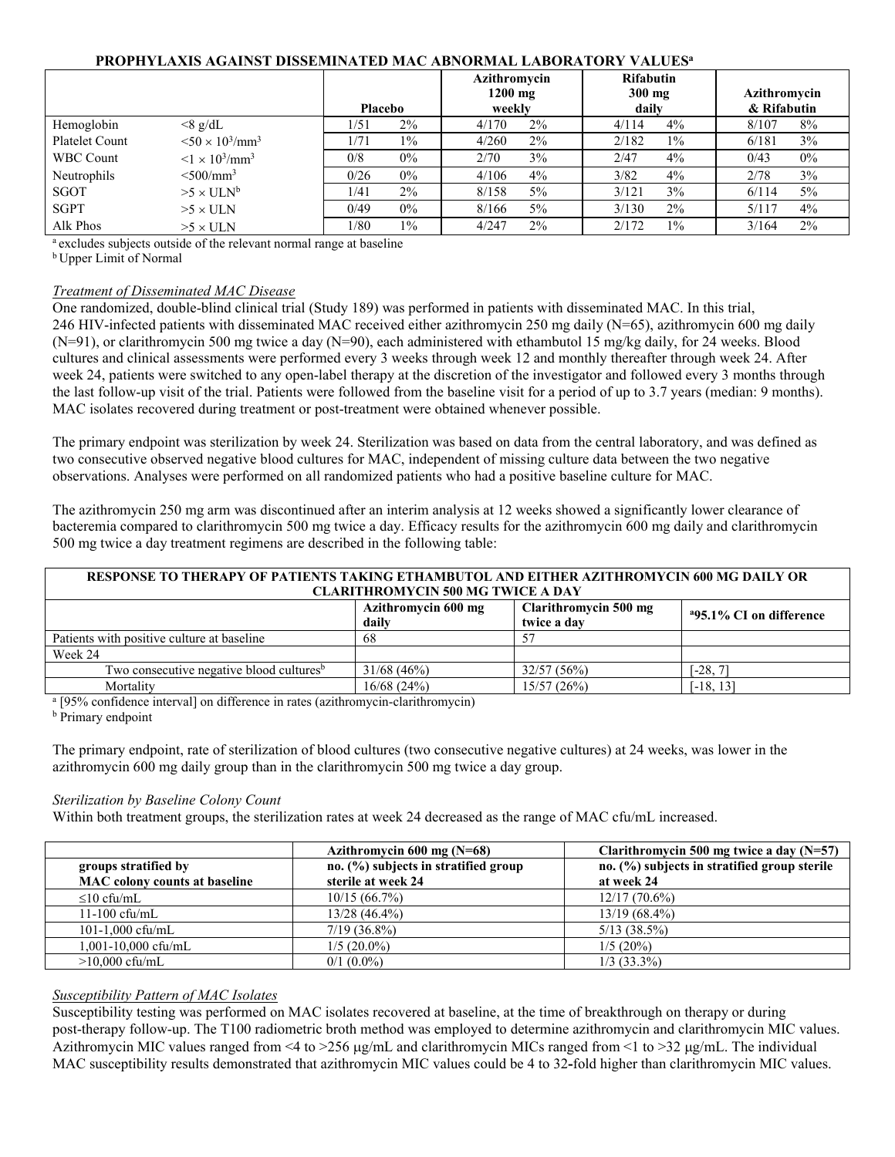### **PROPHYLAXIS AGAINST DISSEMINATED MAC ABNORMAL LABORATORY VALUES<sup>a</sup>**

|                  |                                       | <b>Placebo</b> | Azithromycin<br>$1200$ mg<br>weekly | <b>Rifabutin</b><br>$300$ mg<br>daily | Azithromycin<br>& Rifabutin |
|------------------|---------------------------------------|----------------|-------------------------------------|---------------------------------------|-----------------------------|
| Hemoglobin       | $<8$ g/dL                             | 2%<br>1/51     | $2\%$<br>4/170                      | 4%<br>4/114                           | 8%<br>8/107                 |
| Platelet Count   | $< 50 \times 10^{3}$ /mm <sup>3</sup> | 1/71<br>$1\%$  | $2\%$<br>4/260                      | $1\%$<br>2/182                        | 3%<br>6/181                 |
| <b>WBC Count</b> | $< 1 \times 10^{3}$ /mm <sup>3</sup>  | $0\%$<br>0/8   | $3\%$<br>2/70                       | 2/47<br>4%                            | $0\%$<br>0/43               |
| Neutrophils      | $\leq 500$ /mm <sup>3</sup>           | $0\%$<br>0/26  | 4/106<br>4%                         | 3/82<br>4%                            | 3%<br>2/78                  |
| SGOT             | $>5 \times ULN^b$                     | 2%<br>1/41     | $5\%$<br>8/158                      | 3%<br>3/121                           | 5%<br>6/114                 |
| <b>SGPT</b>      | $>5 \times$ ULN                       | $0\%$<br>0/49  | $5\%$<br>8/166                      | 2%<br>3/130                           | 4%<br>5/117                 |
| Alk Phos         | $>5 \times$ ULN                       | 1/80<br>$1\%$  | $2\%$<br>4/247                      | $1\%$<br>2/172                        | $2\%$<br>3/164              |

<sup>a</sup> excludes subjects outside of the relevant normal range at baseline

<sup>b</sup> Upper Limit of Normal

#### *Treatment of Disseminated MAC Disease*

One randomized, double-blind clinical trial (Study 189) was performed in patients with disseminated MAC. In this trial, 246 HIV-infected patients with disseminated MAC received either azithromycin 250 mg daily (N=65), azithromycin 600 mg daily (N=91), or clarithromycin 500 mg twice a day (N=90), each administered with ethambutol 15 mg/kg daily, for 24 weeks. Blood cultures and clinical assessments were performed every 3 weeks through week 12 and monthly thereafter through week 24. After week 24, patients were switched to any open-label therapy at the discretion of the investigator and followed every 3 months through the last follow-up visit of the trial. Patients were followed from the baseline visit for a period of up to 3.7 years (median: 9 months). MAC isolates recovered during treatment or post-treatment were obtained whenever possible.

The primary endpoint was sterilization by week 24. Sterilization was based on data from the central laboratory, and was defined as two consecutive observed negative blood cultures for MAC, independent of missing culture data between the two negative observations. Analyses were performed on all randomized patients who had a positive baseline culture for MAC.

The azithromycin 250 mg arm was discontinued after an interim analysis at 12 weeks showed a significantly lower clearance of bacteremia compared to clarithromycin 500 mg twice a day. Efficacy results for the azithromycin 600 mg daily and clarithromycin 500 mg twice a day treatment regimens are described in the following table:

| RESPONSE TO THERAPY OF PATIENTS TAKING ETHAMBUTOL AND EITHER AZITHROMYCIN 600 MG DAILY OR |            |             |                                     |  |  |
|-------------------------------------------------------------------------------------------|------------|-------------|-------------------------------------|--|--|
| <b>CLARITHROMYCIN 500 MG TWICE A DAY</b>                                                  |            |             |                                     |  |  |
| Azithromycin 600 mg<br>Clarithromycin 500 mg                                              |            |             |                                     |  |  |
|                                                                                           | daily      | twice a day | <sup>a</sup> 95.1% CI on difference |  |  |
| Patients with positive culture at baseline                                                | 68         |             |                                     |  |  |
| Week 24                                                                                   |            |             |                                     |  |  |
| Two consecutive negative blood cultures <sup>b</sup>                                      | 31/68(46%) | 32/57(56%)  | $[-28, 7]$                          |  |  |
| Mortality                                                                                 | 16/68(24%) | 15/57(26%)  | $[-18, 13]$                         |  |  |

<sup>a</sup> [95% confidence interval] on difference in rates (azithromycin-clarithromycin)

**b** Primary endpoint

The primary endpoint, rate of sterilization of blood cultures (two consecutive negative cultures) at 24 weeks, was lower in the azithromycin 600 mg daily group than in the clarithromycin 500 mg twice a day group.

### *Sterilization by Baseline Colony Count*

Within both treatment groups, the sterilization rates at week 24 decreased as the range of MAC cfu/mL increased.

|                                      | Azithromycin 600 mg $(N=68)$         | Clarithromycin 500 mg twice a day $(N=57)$   |
|--------------------------------------|--------------------------------------|----------------------------------------------|
| groups stratified by                 | no. (%) subjects in stratified group | no. (%) subjects in stratified group sterile |
| <b>MAC</b> colony counts at baseline | sterile at week 24                   | at week 24                                   |
| $\leq 10$ cfu/mL                     | 10/15(66.7%)                         | $12/17(70.6\%)$                              |
| $11-100$ cfu/mL                      | $13/28(46.4\%)$                      | $13/19(68.4\%)$                              |
| 101-1,000 cfu/mL                     | $7/19(36.8\%)$                       | $5/13$ $(38.5\%)$                            |
| 1.001-10.000 cfu/mL                  | $1/5(20.0\%)$                        | $1/5(20\%)$                                  |
| $>10,000$ cfu/mL                     | $0/1$ (0.0%)                         | $1/3$ (33.3%)                                |

### *Susceptibility Pattern of MAC Isolates*

Susceptibility testing was performed on MAC isolates recovered at baseline, at the time of breakthrough on therapy or during post-therapy follow-up. The T100 radiometric broth method was employed to determine azithromycin and clarithromycin MIC values. Azithromycin MIC values ranged from  $\leq 4$  to  $\geq 256 \mu g/mL$  and clarithromycin MICs ranged from  $\leq 1$  to  $\geq 32 \mu g/mL$ . The individual MAC susceptibility results demonstrated that azithromycin MIC values could be 4 to 32**-**fold higher than clarithromycin MIC values.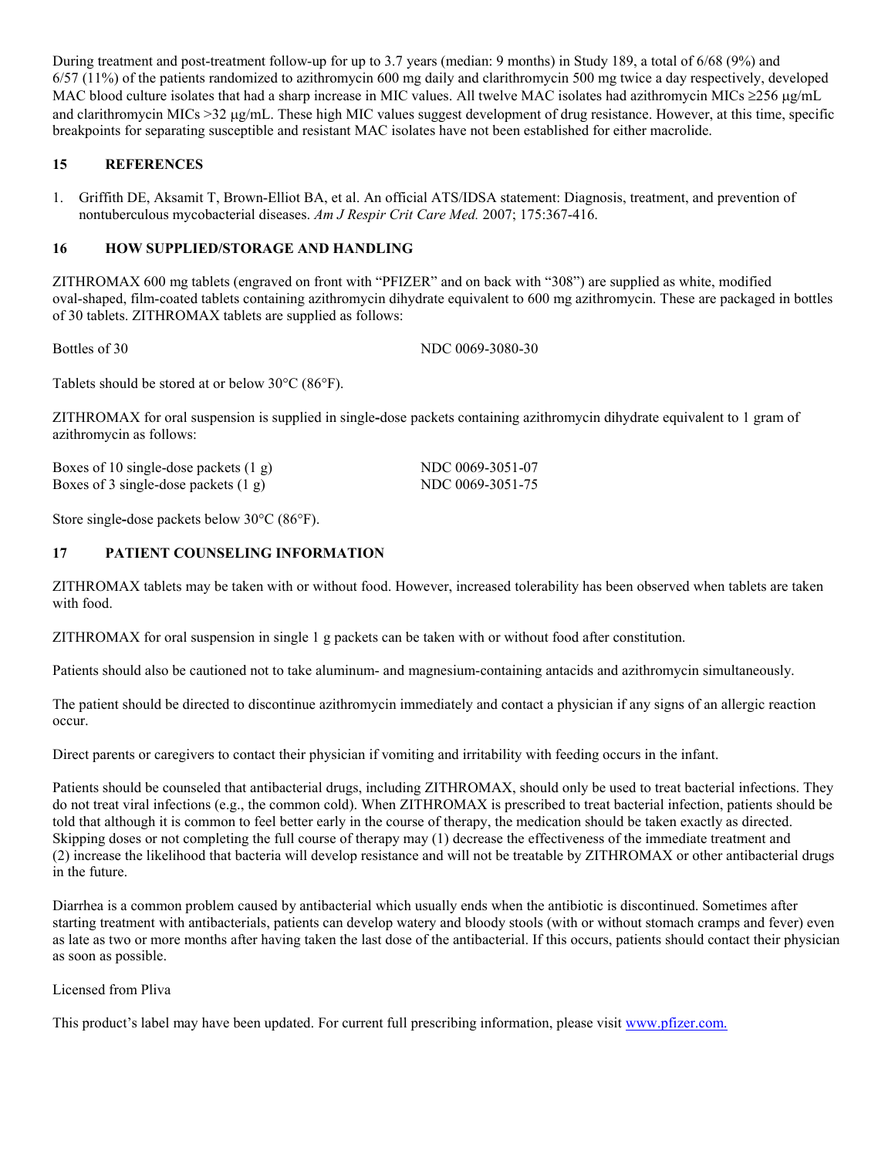During treatment and post-treatment follow-up for up to 3.7 years (median: 9 months) in Study 189, a total of 6/68 (9%) and 6/57 (11%) of the patients randomized to azithromycin 600 mg daily and clarithromycin 500 mg twice a day respectively, developed MAC blood culture isolates that had a sharp increase in MIC values. All twelve MAC isolates had azithromycin MICs  $\geq 256 \mu g/mL$ and clarithromycin MICs  $>32 \mu g/mL$ . These high MIC values suggest development of drug resistance. However, at this time, specific breakpoints for separating susceptible and resistant MAC isolates have not been established for either macrolide.

### **15 REFERENCES**

1. Griffith DE, Aksamit T, Brown-Elliot BA, et al. An official ATS/IDSA statement: Diagnosis, treatment, and prevention of nontuberculous mycobacterial diseases. *Am J Respir Crit Care Med.* 2007; 175:367-416.

### **16 HOW SUPPLIED/STORAGE AND HANDLING**

ZITHROMAX 600 mg tablets (engraved on front with "PFIZER" and on back with "308") are supplied as white, modified oval-shaped, film-coated tablets containing azithromycin dihydrate equivalent to 600 mg azithromycin. These are packaged in bottles of 30 tablets. ZITHROMAX tablets are supplied as follows:

Bottles of 30 NDC 0069-3080-30

Tablets should be stored at or below  $30^{\circ}$ C (86 $^{\circ}$ F).

ZITHROMAX for oral suspension is supplied in single**-**dose packets containing azithromycin dihydrate equivalent to 1 gram of azithromycin as follows:

Boxes of 10 single-dose packets (1 g) NDC 0069-3051-07 Boxes of 3 single-dose packets (1 g) NDC 0069-3051-75

Store single-dose packets below 30<sup>o</sup>C (86<sup>o</sup>F).

### **17 PATIENT COUNSELING INFORMATION**

ZITHROMAX tablets may be taken with or without food. However, increased tolerability has been observed when tablets are taken with food.

ZITHROMAX for oral suspension in single 1 g packets can be taken with or without food after constitution.

Patients should also be cautioned not to take aluminum- and magnesium-containing antacids and azithromycin simultaneously.

The patient should be directed to discontinue azithromycin immediately and contact a physician if any signs of an allergic reaction occur.

Direct parents or caregivers to contact their physician if vomiting and irritability with feeding occurs in the infant.

Patients should be counseled that antibacterial drugs, including ZITHROMAX, should only be used to treat bacterial infections. They do not treat viral infections (e.g., the common cold). When ZITHROMAX is prescribed to treat bacterial infection, patients should be told that although it is common to feel better early in the course of therapy, the medication should be taken exactly as directed. Skipping doses or not completing the full course of therapy may (1) decrease the effectiveness of the immediate treatment and (2) increase the likelihood that bacteria will develop resistance and will not be treatable by ZITHROMAX or other antibacterial drugs in the future.

Diarrhea is a common problem caused by antibacterial which usually ends when the antibiotic is discontinued. Sometimes after starting treatment with antibacterials, patients can develop watery and bloody stools (with or without stomach cramps and fever) even as late as two or more months after having taken the last dose of the antibacterial. If this occurs, patients should contact their physician as soon as possible.

Licensed from Pliva

This product's label may have been updated. For current full prescribing information, please visit [www.pfizer.com](http://www.pfizer.com/).